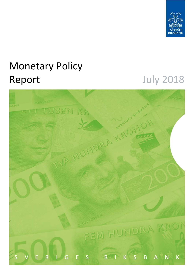

# Monetary Policy Report July 2018

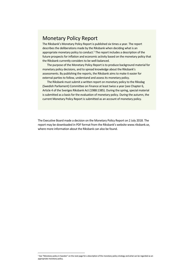# Monetary Policy Report

The Riksbank's Monetary Policy Report is published six times a year. The report describes the deliberations made by the Riksbank when deciding what is an appropriate monetary policy to conduct.<sup>1</sup> The report includes a description of the future prospects for inflation and economic activity based on the monetary policy that the Riksbank currently considers to be well‐balanced.

The purpose of the Monetary Policy Report is to produce background material for monetary policy decisions, and to spread knowledge about the Riksbank's assessments. By publishing the reports, the Riksbank aims to make it easier for external parties to follow, understand and assess its monetary policy.

The Riksbank must submit a written report on monetary policy to the Riksdag (Swedish Parliament) Committee on Finance at least twice a year (see Chapter 6, Article 4 of the Sveriges Riksbank Act (1988:1385). During the spring, special material is submitted as a basis for the evaluation of monetary policy. During the autumn, the current Monetary Policy Report is submitted as an account of monetary policy.

The Executive Board made a decision on the Monetary Policy Report on 2 July 2018. The report may be downloaded in PDF format from the Riksbank's website www.riksbank.se, where more information about the Riksbank can also be found.

<u> Andrew Maria (1989)</u>

 $1$  See "Monetary policy in Sweden" on the next page for a description of the monetary policy strategy and what can be regarded as an appropriate monetary policy.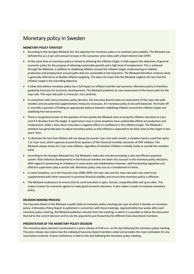# Monetary policy in Sweden

### **MONETARY POLICY STRATEGY**

- According to the Sveriges Riksbank Act, the objective for monetary policy is to maintain price stability. The Riksbank has defined this as a 2 per cent annual increase in the consumer price index with a fixed interest rate (CPIF).
- At the same time as monetary policy is aimed at attaining the inflation target, it shall support the objectives of general economic policy for the purpose of attaining sustainable growth and a high level of employment. This is achieved through the Riksbank, in addition to stabilising inflation around the inflation target, endeavouring to stabilise production and employment around paths that are sustainable in the long term. The Riksbank therefore conducts what is generally referred to as flexible inflation targeting. This does not mean that the Riksbank neglects the fact that the inflation target is the overriding objective.
- It takes time before monetary policy has a full impact on inflation and the real economy. Monetary policy is therefore guided by forecasts for economic developments. The Riksbank publishes its own assessment of the future path for the repo rate. This repo‐rate path is a forecast, not a promise.
- In connection with every monetary policy decision, the Executive Board makes an assessment of the repo-rate path needed, and any potential supplementary measures necessary, for monetary policy to be well‐balanced. The trade‐off is normally a question of finding an appropriate balance between stabilising inflation around the inflation target and stabilising the real economy.
- There is no general answer to the question of how quickly the Riksbank aims to bring the inflation rate back to 2 per cent if it deviates from the target. A rapid return may in some situations have undesirable effects on production and employment, while a slow return may have a negative effect on confidence in the inflation target. The Riksbank's ambition has generally been to adjust monetary policy so that inflation is expected to be fairly close to the target in two years' time.
- To illustrate the fact that inflation will not always be exactly 2 per cent each month, a variation band is used that spans 1 to 3 per cent, which captures around three quarters of the historical monthly outcomes of CPIF inflation. The Riksbank always strives for 2 per cent inflation, regardless of whether inflation is initially inside or outside the variation band.
- According to the Sveriges Riksbank Act, the Riksbank's tasks also include promoting a safe and efficient payment system. Risks linked to developments in the financial markets are taken into account in the monetary policy decisions. With regard to preventing an imbalance in asset prices and indebtedness however, well-functioning regulation and effective supervision play a central role. Monetary policy only acts as a complement to these.
- In some situations, as in the financial crisis 2008–2009, the repo rate and the repo-rate path may need to be supplemented with other measures to promote financial stability and ensure that monetary policy is effective.
- The Riksbank endeavours to ensure that its communication is open, factual, comprehensible and up‐to‐date. This makes it easier for economic agents to make good economic decisions. It also makes it easier to evaluate monetary policy.

### **DECISION‐MAKING PROCESS**

The Executive Board of the Riksbank usually holds six monetary policy meetings per year at which it decides on monetary policy. A Monetary Policy Report is published in connection with these meetings. Approximately two weeks after each monetary policy meeting, the Riksbank publishes minutes from the meeting, in which it is possible to follow the discussion that led to the current decision and to see the arguments put forward by the different Executive Board members.

### **PRESENTATION OF THE MONETARY POLICY DECISION**

The monetary policy decision is presented in a press release at 9:30 a.m. on the day following the monetary policy meeting. The press release also states how the individual Executive Board members voted and provides the main motivation for any reservations entered. A press conference is held on the day following the monetary policy meeting.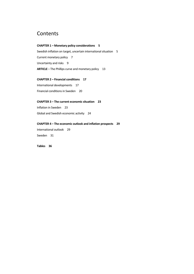# Contents

# **CHAPTER 1 – Monetary policy considerations 5**

Swedish inflation on target, uncertain international situation 5 Current monetary policy 7 Uncertainty and risks 9 **ARTICLE** – The Phillips curve and monetary policy 13

# **CHAPTER 2 – Financial conditions 17**

International developments 17 Financial conditions in Sweden 20

### **CHAPTER 3 – The current economic situation 23**

Inflation in Sweden 23 Global and Swedish economic activity 24

# **CHAPTER 4 – The economic outlook and inflation prospects 29**

International outlook 29 Sweden 31

**Tables 36**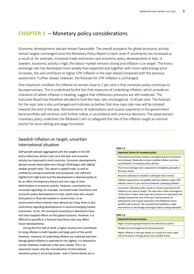# **CHAPTER 1** – Monetary policy considerations

Economic developments abroad remain favourable. The overall prospects for global economic activity remain largely unchanged since the Monetary Policy Report in April, even if uncertainty has increased as a result of, for example, increased trade restrictions and economic policy developments in Italy. In Sweden, economic activity is high, the labour market remains strong and inflation is on target. The krona exchange rate has developed more weakly than expected and together with more rapid energy price increases, this will contribute to higher CPIF inflation in the year ahead compared with the previous assessment. Further ahead, however, the forecast for CPIF inflation is unchanged.

One important condition for inflation to remain close to 2 per cent is that monetary policy continues to be expansionary. This is underlined by the fact that measures of underlying inflation, which provide an indication of where inflation is heading, suggest that inflationary pressures are still moderate. The Executive Board has therefore decided to hold the repo rate unchanged at −0.50 per cent. The forecast for the repo rate is also unchanged and indicates as before that slow repo rate rises will be initiated towards the end of the year. Reinvestments of redemptions and coupon payments in the government bond portfolio will continue until further notice, in accordance with previous decisions. The expansionary monetary policy underlines the Riksbank's aim to safeguard the role of the inflation target as nominal anchor for price‐setting and wage formation.

# Swedish inflation on target, uncertain international situation

GDP growth abroad (aggregated with the weights in the KIX krona index) was almost 3 per cent last year and economic activity has improved in most countries. Economic developments abroad remain favourable even though 2018 began with slightly weaker growth rates. The upturn in global trade, as well as confidence among households and companies, has softened slightly from high levels but this development is deemed partly to be an effect of temporary factors and not a sign of clear deterioration in economic activity. However, uncertainty has increased regarding, for example, increased trade restrictions and economic policy developments in Italy, which have also caused fluctuations in financial markets in recent times. In an environment where interest rates abroad are rising, there is also uncertainty regarding developments in several emerging market economies. So far, the increased uncertainty is deemed to have had only marginal effects on the global economy. However, it is difficult to quantify in a forecast how these risks may affect future developments.

During the first half of 2018, a higher oil price has contributed to rising inflation in both Sweden and large parts of the world. However, measures of underlying inflation are subdued and even though global inflation is expected to rise slightly, it is deemed to remain relatively moderate in the years ahead. This is an important reason why the normalisation of international monetary policy is occurring slowly ‐ even if central banks are in

### **Table 1:1.**

#### **Important factors for monetary policy**

International economic activity is strengthening but uncertainty has increased. Moderate increase in global inflation and slow normalisation of monetary policy abroad.

The krona exchange rate is expected to strengthen gradually in the years ahead.

Resource utilisation in Sweden is still higher than normal.

Inflation expectations compatible with the inflation target, CPIF inflation close to 2 per cent but moderate underlying inflation.

Conclusion: Monetary policy needs to remain expansionary for inflation to be close to target. The repo rate is held unchanged at −0.50 and as in April, slow repo rate increases are expected to be initiated towards the end of the year. Reinvestments of redemptions and coupon payments in the Riksbank's bond portfolio will continue. The mandate that facilitates a rapid intervention on the foreign‐exchange market is being extended.

### **Table 1:2.**

### **Important forecast revisions**

Higher oil prices going forward in line with futures prices.

Weaker krona throughout the forecast period.

Higher inflation in the year ahead, as a result of a more rapid rate of increase in energy prices and a weaker krona.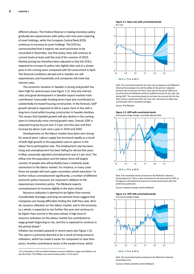different phases. The Federal Reserve is making monetary policy gradually less expansionary with policy‐rate rises and a tapering of asset holdings, while the European Central Bank (ECB) continues to increase its asset holdings. The ECB has communicated that it expects net asset purchases to be concluded in December, but that policy rates will continue at current levels at least until the end of the summer of 2019. Market pricing has therefore been adjusted so that the ECB is expected to increase its policy rate slightly later and at a slower pace in the coming years compared with the assessment in April. The financial conditions abroad and in Sweden are still expansionary and households and companies still meet low interest rates.

The economic situation in Sweden is strong and growth has been high for several years (see Figure 1:2). Very low interest rates and good development in Swedish export markets have contributed. Favourable funding terms have also contributed to substantially increased housing construction. In the forecast, GDP growth abroad is expected to fall to a pace more in line with a long‐term trend while housing construction in Sweden declines. This means that Swedish growth will also decline in the coming years to historically more normal growth rates. Overall, GDP is expected to grow by just over 2.5 per cent this year and then increase by about 2 per cent a year in 2019 and 2020.

Developments on the labour market have been very strong for several years. Labour supply has increased rapidly as a result of both high growth in the population and an upturn in the labour force participation rate. The employment rate has been rising and unemployment has been falling for almost five years. In May, seasonally adjusted unemployment was 6.1 per cent. The inflow into the population and the labour force still largely consists of people who will probably have a relatively weak connection to the labour market. For instance, in many cases these are people who lack upper‐secondary school education. To further reduce unemployment significantly, a number of different economic policy measures are required in addition to the expansionary monetary policy. The Riksbank expects unemployment to increase slightly in the years ahead.

Resource utilisation is deemed to be higher than normal. Considerable shortages and long recruitment times suggest that companies are having difficulties finding the staff they seek. All in all, resource utilisation on the labour market, and in the economy as a whole, is expected to rise further this year and continue to be higher than normal in the years ahead. A high level of resource utilisation on the labour market has contributed to wage growth beginning to rise, and this is expected to continue in the period ahead.<sup>2</sup>

Inflation has trended upwards in recent years (see Figure 1:3). The upturn is primarily deemed to be a result of rising resource utilisation, which has made it easier for companies to raise their prices. Another contributory factor is the weaker krona, which

<u> 1989 - Johann Barn, mars ar breithinn ar chuid ann an t-</u>

**Figure 1:1. Repo rate with uncertainty bands**  Per cent



 $50\%$  75 %  $90\%$ 

Note. The uncertainty bands for the repo rate are based on the Riksbank's historical forecasting errors and the ability of risk‐premium adjusted forward rates to forecast the future repo rate for the period 1999 up to the point when the Riksbank started to publish forecasts for the repo rate during 2007. The uncertainty bands do not take into account the fact that there may be a lower bound for the repo rate. Outcomes are daily rates and forecasts refer to quarterly averages.

Source: The Riksbank





Note. The uncertainty bands are based on the Riksbank's historical forecasting errors. There is also uncertainty for the outcomes for GDP, as the figures in the National Accounts are revised several years after the preliminary publication.

Sources: Statistics Sweden and the Riksbank



### **Figure 1:3. CPIF with uncertainty bands**  Annual percentage change

Note. The uncertainty bands are based on the Riksbank's historical forecasting errors.

<sup>2</sup> For a discussion on the correlation between resource utilisation, wages and inflation, see also the article "The Phillips curve and monetary policy" in this report.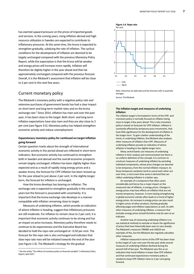has exerted upward pressure on the prices of imported goods and services. In the coming years, rising inflation abroad and high resource utilisation in Sweden are expected to contribute to inflationary pressures. At the same time, the krona is expected to strengthen gradually, subduing the rate of inflation. The cyclical conditions for the development of inflation are deemed to be largely unchanged compared with the previous Monetary Policy Report, while the expectation is that the krona will be weaker and energy prices will increase more rapidly. Inflation will therefore be slightly higher in the year ahead and then be approximately unchanged compared with the previous forecast. Overall, it is the Riksbank's assessment that inflation will be close to 2 per cent in the next few years.

# Current monetary policy

The Riksbank's monetary policy with a negative policy rate and extensive purchases of government bonds has had a clear impact on short‐term and long‐term market rates and on the krona exchange rate.<sup>3</sup> Since 2014, inflation has risen and over the past year, it has been close to the target. Both short‐ and long‐term inflation expectations have also risen and they are also close to 2 per cent (see Figure 3:5). Monetary policy has helped strengthen economic activity and reduce unemployment.

# **Expansionary monetary policy for continued on‐target inflation going forward**

Certain question marks about the strength of international economic activity in the period ahead are reflected in short‐term indicators. But economic activity has continued to strengthen both in Sweden and abroad and the overall economic prospects remain largely unchanged. Inflation has been slightly higher than expected and as a result of rapidly rising energy prices and a weaker krona, the forecast for CPIF inflation has been revised up for the year ahead to just above 2 per cent. In the slightly longer term, the forecast for inflation is unchanged.

How the krona develops has bearing on inflation. The exchange rate is expected to strengthen gradually in the coming years but the forecast is associated with uncertainty. It is important that the krona exchange rate develops in a manner compatible with inflation remaining close to target.

Measures of underlying inflation, which provide an indication of where inflation is heading, suggest that inflationary pressures are still moderate. For inflation to remain close to 2 per cent, it is important that economic activity continues to be strong and has an impact on price increases. Monetary policy therefore needs to continue to be expansionary and the Executive Board has decided to hold the repo rate unchanged at −0.50 per cent. The forecast for the repo rate is also unchanged and indicates that slow repo rate rises will be initiated towards the end of the year (see Figure 1:4). The Riksbank's strategy for the gradual

<u> 1989 - Johann Barn, mars ar breithinn ar chuid ann an t-</u>



Note. Outcomes are daily data and the forecasts refer to quarterly averages. Source: The Riksbank

### **The inflation target and measures of underlying inflation**

The inflation target is formulated in terms of the CPIF, and monetary policy is normally focused on inflation being close to target a few years ahead. This is why monetary policy is based on forecasts for CPIF inflation. Inflation is constantly affected by temporary price movements, that have little significance for the development of inflation in the longer term. To gain a better understanding of the trend, or underlying inflation, the Riksbank also analyses other measures of inflation than CPIF. Measures of underlying inflation provide an indication of where inflation is heading in the slightly longer term.

Many central banks use measures of underlying inflation in their analysis and communication but there is no uniform definition of the concept. It is common to construct measures of underlying inflation by excluding individual components, whose price changes are deemed to be temporary, from the normal inflation measure. As these temporary variations tend to cancel each other out over time, a more even time series is derived that can reflect underlying inflation in a better way.

An example of a component that often varies considerably and hence has a major impact on the measured rate of inflation, is energy prices. Changes in energy prices may have effects on inflation that are not merely temporary, however. A more lasting strengthening in global economic activity often leads to a trend of higher energy prices. An increase in energy prices can also result in higher prices of other products, thereby gradually affecting wages and inflation expectations as well. As with other measures of underlying inflation, a measure that excludes energy prices should therefore only be seen as an indicator.

Another way of measuring underlying inflation is to use statistical methods to exclude or lessen the significance of prices that have historically been seen to vary sharply. The Riksbank's measures TRIM85 and UND24 are examples of this, but the Riksbank also regularly calculates other measures.

Inflation measured in terms of the CPIF has been close to the target of 2 per cent over the last year while several measures of underlying inflation declined during the second half of last year. The Riksbank sees this as an indication that trend inflation is lower than CPIF inflation and that continued expansionary monetary policy is needed to keep CPIF inflation close to 2 per cent going forward.

<sup>&</sup>lt;sup>3</sup> See the article "The effects of monetary policy on financial variables" in Monetary Policy Report, April 2017.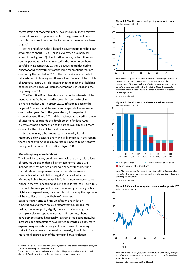normalisation of monetary policy involves continuing to reinvest redemptions and coupon payments in the government bond portfolio for some time after the increases in the repo rate have begun.4

At the end of June, the Riksbank's government bond holdings amounted to about SEK 330 billion, expressed as a nominal amount (see Figure 1:5).<sup>5</sup> Until further notice, redemptions and coupon payments will be reinvested in the government bond portfolio. In December 2017, the Executive Board decided to bring forward reinvestments of the large redemptions that are due during the first half of 2019. The Riksbank already started reinvestments in January and these will continue until the middle of 2019 (see Figure 1:6). This means that the Riksbank's holdings of government bonds will increase temporarily in 2018 and the beginning of 2019.

The Executive Board has also taken a decision to extend the mandate that facilitates rapid intervention on the foreignexchange market until February 2019. Inflation is close to the target of 2 per cent and the krona exchange rate has weakened over the last year. But in the years ahead, it is expected to strengthen (see Figure 1:7) and the exchange rate is still a source of uncertainty as regards the development of inflation. An excessively rapid appreciation of the krona would make it more difficult for the Riksbank to stabilise inflation.

Just as in many other countries in the world, Swedish monetary policy is expansionary and will remain so in the coming years. For example, the real repo rate is expected to be negative throughout the forecast period (see Figure 1:8).

### **Monetary policy considerations**

The Swedish economy continues to develop strongly with a level of resource utilisation that is higher than normal and a CPIF inflation rate that has been close to 2 per cent for some time. Both short‐ and long‐term inflation expectations are also compatible with the inflation target. Compared with the Monetary Policy Report in April, inflation is now expected to be higher in the year ahead and be just above target (see Figure 1:9). This could be an argument in favour of making monetary policy slightly less expansionary, for example by increasing the repo rate slightly earlier than in the Riksbank's forecast.

But it has taken time to bring up inflation and inflation expectations and there are also factors that could speak for making monetary policy slightly more expansionary by, for example, delaying repo rate increases. Uncertainty about developments abroad, especially regarding trade conditions, has increased and expectations have shifted towards a slightly more expansionary monetary policy in the euro area. If monetary policy in Sweden were to normalise too early, it could lead to a more rapid appreciation of the krona and lower inflation.

<u> 1989 - Johann Stein, mars an de Brasilia (b. 1989)</u>





Note. Forecast up until June 2019, after that a technical projection with the assumption that no further reinvestments are made. The development of the holdings is also affected to a certain extent by the bonds' market prices and by which bonds the Riksbank chooses to reinvest in. The vertical line marks the shift between the forecast and technical projection. Source: The Riksbank



**Figure 1:6. The Riksbank's purchases and reinvestments**  Nominal amounts, SEK billion

Note. The development for reinvestments from mid‐2018 onwards is a forecast and refers to nominal amounts. The final amounts will depend on prevailing market prices.

Source: The Riksbank



**Figure 1:7. Competition‐weighted nominal exchange rate, KIX**  Index, 1992‐11‐18 = 100

Note. Outcomes are daily rates and forecasts refer to quarterly averages. KIX refers to an aggregate of countries that are important for Sweden's international transactions.

Sources: National sources and the Riksbank

<sup>4</sup> See the article "The Riksbank's strategy for a gradual normalisation of monetary policy" in Monetary Policy Report, December 2017.

<sup>&</sup>lt;sup>5</sup> In addition to purchases made since 2015, the holdings also include the portfolio built up during 2012 and reinvestments of redemptions and coupon payments.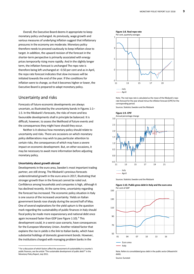Overall, the Executive Board deems it appropriate to keep monetary policy unchanged. As previously, wage growth and various measures of underlying inflation suggest that inflationary pressures in the economy are moderate. Monetary policy therefore needs to proceed cautiously to keep inflation close to target. In addition, the upward revision of the forecast in the shorter-term perspective is primarily associated with energy prices temporarily rising more rapidly. And in the slightly longer term, the inflation forecast is unchanged The repo rate is therefore being left unchanged at −0.50 per cent and as in April, the repo rate forecast indicates that slow increases will be initiated towards the end of the year. If the conditions for inflation were to change, so that it becomes higher or lower, the Executive Board is prepared to adapt monetary policy.

# Uncertainty and risks

Forecasts of future economic developments are always uncertain, as illustrated by the uncertainty bands in Figures 1:1– 1:3. In the Riksbank's forecasts, the risks of more and less favourable developments shall in principle be balanced. It is difficult, however, to assess the likelihood of future events and the consequences they might have should they occur.

Neither is it obvious how monetary policy should relate to uncertainty and risks. There are occasions on which monetary policy deliberations may wish to pay particular attention to certain risks, the consequences of which may have a severe impact on economic development. But, on other occasions, it may be necessary to await more information before adjusting monetary policy.

### **Uncertainty about growth abroad**

Developments in the euro area, Sweden's most important trading partner, are still strong. The Riksbank's previous forecasts underestimated growth in the euro area in 2017, illustrating that stronger growth than in the forecast cannot be ruled out. Confidence among households and companies is high, although it has declined recently. At the same time, uncertainty regarding the forecast has increased. The economic policy situation in Italy is one source of the increased uncertainty. Yields on Italian government bonds rose sharply during the second half of May. One of several explanations for the yield upturn is the question mark regarding the sustainability of public finances in Italy should fiscal policy be made more expansionary and national debt once again increased faster than GDP (see Figure 1:10).<sup>6</sup> This development could, in a worst‐case scenario, have consequences for the European Monetary Union. Another related factor that explains the rise in yields is the link to Italian banks, which have substantial holdings of domestic government bonds. However, the institutions charged with managing problem banks in the

<u> 1989 - Johann Barn, mars ar breithinn ar chuid ann an t-</u>



Note. The real repo rate is calculated as the mean of the Riksbank's repo rate forecast for the year ahead minus the inflation forecast (CPIF) for the corresponding period.

Sources: Statistics Sweden and the Riksbank





Sources: Statistics Sweden and the Riksbank

Note. Refers to consolidated gross debt in the public sector (Maastricht debt). Source: Eurostat

<sup>6</sup> For a discussion of which factors affect the assessment of sustainability in a country's public finances, see the article "The sustainable development of public debt?" in the Monetary Policy Report, July 2011.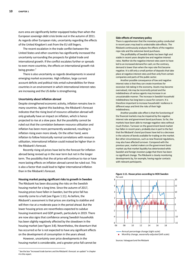euro area are significantly better equipped today than when the European sovereign debt crisis broke out in the autumn of 2011. As regards other European risks, uncertainty regarding the effects of the United Kingdom's exit from the EU still lingers.

The recent escalation in the trade conflict between the United States and other countries has significantly increased the uncertainty surrounding the prospects for global trade and international growth. If the conflict escalates further or spreads to even more countries, the effects on international growth risk being greater.<sup>7</sup>

There is also uncertainty as regards developments in several emerging market economies. High inflation, large current account deficits and political risks entail vulnerabilities for these countries in an environment in which international interest rates are increasing and the US dollar is strengthening.

### **Uncertainty about inflation abroad**

Despite strengthened economic activity, inflation remains low in many countries. Against this backdrop, the Riksbank's forecast indicates that the rising level of resource utilisation abroad will only gradually have an impact on inflation, which is hence projected to rise at a slow pace. But the possibility cannot be ruled out that the correlation between resource utilisation and inflation has been more permanently weakened, resulting in inflation rising even more slowly. On the other hand, were inflation to follow historically normal correlations with resource utilisation, international inflation could instead be higher than in the Riksbank's forecast.

Recently rising oil prices have led to the forecast for inflation abroad being revised up in the near term but not in the longer term. The possibility that the oil price will continue to rise or have more lasting effects on inflation abroad cannot be ruled out. This is also a factor that could lead to higher international inflation than in the Riksbank's forecast.

### **Housing market posing significant risks to growth in Sweden**

The Riksbank has been discussing the risks on the Swedish housing market for a long time. Since the autumn of 2017, housing prices have fallen in Sweden, but the price fall has recently come to a halt (see Figure 1:11). As before, the Riksbank's assessment is that prices are starting to stabilise and will then rise at a moderate pace in the period ahead. But the lower housing prices are nevertheless expected to subdue housing investment and GDP growth, particularly in 2019. There are now also signs that confidence among Swedish households has been slightly negatively affected by the slowdown in the housing market (see Figure 3:8). Nevertheless, the downturn that has occurred so far is not expected to have any significant effects on the development of consumption in the years ahead.

However, uncertainty over price developments in the housing market is considerable, and a greater price fall cannot be

<u> 1989 - Johann Barn, mars ar breithinn ar chuid ann an t-</u>

#### **Side‐effects of monetary policy**

There is apprehension that the monetary policy conducted in recent years may lead to undesirable side‐effects. The Riksbank continuously analyses the effects of the negative repo rate and the extensive bond purchases.

The profitability of Swedish banks has been high and stable in recent years despite low and negative interest rates. Neither do the negative interest rates seem to have led to an increased demand for cash; on the contrary, demand is lower than when the repo rate first became negative. It is still only a small portion of deposits that take place at negative interest rates and then only from certain companies and parts of the public sector.

Another possible consequence of low and negative interest rates is that they can create incentives for excessive risk‐taking in the economy. Assets may become overvalued, risk may be incorrectly priced and the indebtedness of various agents may increase in an unsustainable manner. The increase in Swedish household indebtedness has long been a cause for concern. It is therefore important to increase households' resilience in different ways and limit the risks of their high indebtedness.

Another possible side‐effect is that the functioning of the financial markets may be impaired by the negative interest rate and government bond purchases. So far, the markets have been able to manage negative rates without much friction. Turnover on the government bond market has fallen in recent years, probably due in part to the fact that the Riksbank's bond purchases have led to a decrease in the volume of bonds available for trading on the market. But other circumstances, such as new financial regulations, may also have affected turnover. Compared with the previous year, market makers on the government bond market say that market liquidity has deteriorated while Swedish and foreign investors judge that there has been no significant change. The Riksbank is closely monitoring developments by, for example, having regular contacts with relevant participants.



**Figure 1:11. House prices according to HOX Sweden** 

Sources: Valueguard and the Riksbank

<sup>7</sup> See the box "Increased trade barriers and the Riksbank's forecast: an update" in chapter 4 in this report.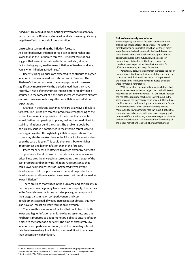ruled out. This could dampen housing investment substantially more than in the Riksbank's forecast, and also have a significantly negative effect on household consumption.

### **Uncertainty surrounding the inflation forecast**

As described above, inflation abroad can be both higher and lower than in the Riksbank's forecast. Historical correlations suggest that lower international inflation will also, all other factors being equal, lead to lower inflation in Sweden, and vice versa when inflation abroad rises.<sup>8</sup>

Recently rising oil prices are expected to contribute to higher inflation in the year ahead both abroad and in Sweden. The Riksbank's forecast assumes that energy prices will increase significantly more slowly in the period ahead than they have recently. A risk is if energy prices increase more rapidly than is assumed in the forecast of if the price increases that have already occurred have a more lasting effect on inflation and inflation expectations.

Changes in the krona exchange rate are as always difficult to forecast. The Riksbank's forecast predicts a strengthening of the krona. A more rapid appreciation of the krona than expected would further dampen import prices, making it more difficult to stabilise inflation around the target. The problems could be particularly serious if confidence in the inflation target were to once again weaken through falling inflation expectations. The krona may also be weaker than in the Riksbank's forecast, as has been the case this year. This could then contribute to higher import prices and higher inflation than in the forecast.

Prices for services are affected to a large extent by domestic cost pressures. The slowdown in the rate of increase in service prices illustrates the uncertainty surrounding the strength of the cost pressures and underlying inflation. A circumstance that could lower companies' costs is unexpectedly weak wage development. But cost pressures also depend on productivity development and low wage increases need not therefore lead to lower inflation.<sup>9</sup>

There are signs that wages in the euro area and particularly in Germany are now beginning to increase more rapidly. The parties in the Swedish manufacturing industry place great emphasis in their wage bargaining on competitiveness and cost developments abroad. If wages increase faster abroad, this may also have an impact on wage formation in Sweden.

There are thus a number of factors that could lead to both lower and higher inflation than is now being assumed, and the Riksbank is prepared to adapt monetary policy to ensure inflation is close to the target of 2 per cent. The risks of excessively low inflation merit particular attention, as at the prevailing interest rate levels excessively low inflation is more difficult to manage than excessively high inflation.

<u> 1989 - Johann Barn, mars eta bat erroman erroman erroman erroman erroman erroman erroman erroman erroman err</u>

#### **Risks of excessively low inflation**

Monetary policy has a clear focus: to stabilise inflation around the inflation target of 2 per cent. The inflation target has been an important condition for the, in many ways, favourable developments in the Swedish economy since the mid‐1990s. With a shared perception of how prices will develop in the future, it will be easier for economic agents to plan for the long term and the coordination of expectations lays the foundation for efficient price‐setting and wage formation.

Persistently below-target inflation increases the risk of economic agents adjusting their expectations and starting to assume that inflation will not return to target even in the longer term. This would have an adverse effect on wage formation, for instance.

With an inflation rate and inflation expectations that are more permanently below target, the nominal interest rate will also be lower on average. This will in turn increase the risk of the repo rate reaching its lower bound, in the same way as if the target were to be lowered. This reduces the Riksbank's scope for cutting the repo rate in the future if inflation becomes low or economic activity wavers. Moreover, too low an inflation rate can make it difficult to adapt real wages between individuals in a company and between different industries, as nominal wages usually rise and are rarely lowered. This can impair the functioning of the labour market and lead to higher unemployment.

<sup>8</sup> See, for instance, J. Lindé and A. Reslow, "Do Swedish forecasters properly account for Sweden's international dependence?", Economic Review No. 2 2017, Sveriges Riksbank. <sup>9</sup> See the article "The Phillips curve and monetary policy" in this report.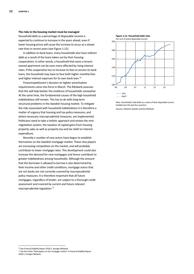### **The risks in the housing market must be managed**

Household debt as a percentage of disposable income is expected to continue to increase in the years ahead, even if lower housing prices will cause the increase to occur at a slower rate than in recent years (see Figure 1:12).

In addition to bank loans, many households also have indirect debt as a result of the loans taken out by their housing cooperatives. In other words, a household that owns a tenant‐ owned apartment can be even more affected by rising interest rates. If the cooperative has to increase its fees to service its bank loans, the household may have to face both higher monthly fees and higher interest expenses for its own bank loan.<sup>10</sup>

Finansinspektionen's decision on tighter amortisation requirements came into force in March. The Riksbank assesses that this will help bolster the resilience of households somewhat. At the same time, the fundamental causes of the high household indebtedness still remain. This has to do with long-term structural problems in the Swedish housing market. To mitigate the risks associated with household indebtedness it is therefore a matter of urgency that housing and tax policy measures, and where necessary macroprudential measures, are implemented. Politicians need to take a holistic approach and review the rent‐ negotiation system, the taxation of capital gains from housing property sales as well as property tax and tax relief on interest expenditure.

Recently a number of new actors have begun to establish themselves on the Swedish mortgage market. These new players are increasing competition on the market, and will probably contribute to lower mortgage rates. This development could also increase the demand for new mortgages and hence contribute to greater indebtedness among households. Although the amount that the borrower is allowed to borrow is also determined by their income and other credit conditions, mortgage actors that are not banks are not currently covered by macroprudential policy measures. It is therefore important that all future mortgages, regardless of lender, are subject to a thorough credit assessment and covered by current and future relevant macroprudential regulation.<sup>11</sup>



Note. Households' total debts as a share of their disposable income totalled over the past four quarters. Sources: Statistics Sweden and the Riksbank

<u> 1989 - Johann Barn, mars eta bat erroman erroman erroman erroman erroman erroman erroman erroman erroman err</u> 10 See Financial Stability Report 2018:1, Sveriges Riksbank.

<sup>&</sup>lt;sup>11</sup> See the article "New players on the mortgage market" in Financial Stability Report 2018:1, Sveriges Riksbank.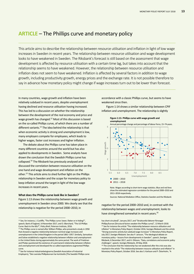# **ARTICLE** – The Phillips curve and monetary policy

This article aims to describe the relationship between resource utilisation and inflation in light of low wage increases in Sweden in recent years. The relationship between resource utilisation and wage development looks to have weakened in Sweden. The Riksbank's forecast is still based on the assessment that wage development is affected by resource utilisation with a certain time lag, but takes into account that the relationship seems to have weakened. However, the relationship between resource utilisation and inflation does not seem to have weakened. Inflation is affected by several factors in addition to wage growth, including productivity growth, energy prices and the exchange rate. It is not possible therefore to say in advance how monetary policy might change if wage increases turn out to be lower than forecast.

In many countries, wage growth and inflation have been relatively subdued in recent years, despite unemployment having declined and resource utilisation having increased. This has led to a discussion on whether the relationship between the development of the real economy and price and wage growth has changed.12 Most of this discussion is based on the so-called Phillips curve, of which there are a number of different variants. $^{13}$  The idea behind the relationship is that when economic activity is strong and unemployment is low, many employers compete for employees, which leads to higher wages, faster cost increases and higher inflation.

The debate about the Phillips curve has taken place in many different countries around the world but has also applied to developments in Sweden. Some analysts have drawn the conclusion that the Swedish Phillips curve has collapsed.14 The Riksbank has previously analysed and discussed the correlation between resource utilisation on the one hand and wage development and inflation on the other.15 This article aims to shed further light on the Phillips relationship in Sweden and the scope for monetary policy to keep inflation around the target in light of the low wage increases in recent years.

### **What does the Phillips curve look like in Sweden?**

<u> 1989 - Johann Barn, mars eta bat erroman erroman erroman erroman erroman erroman erroman erroman erroman err</u>

Figure 1:13 shows the relationship between wage growth and unemployment in Sweden since 2000. We clearly see that the relationship is negative for the period 2000–2010, in

accordance with a classic Phillips curve, but seems to have weakened since then.

Figure 1:14 shows a similar relationship between CPIF inflation and unemployment. The relationship is slightly



Note. Wages according to short‐term wage statistics. Blue and red lines show the estimated regression correlation for the period 2000–2010 and 2011–2018 respectively.

Sources: National Mediation Office, Statistics Sweden and the Riksbank

negative for the period 2000–2010 and, in contrast with the relationship between wages and unemployment, looks to have strengthened somewhat in recent years.<sup>16</sup>

<sup>&</sup>lt;sup>12</sup> See, for instance, J. Cunliffe, "The Phillips curve: lower, flatter or in hiding?", speech, Bank of England, 14 November 2017, and O. Blanchard, "The US Phillips Curve: Back to the 60s?", Policy Brief, Peterson Institute, 2016.

<sup>&</sup>lt;sup>13</sup> The Phillips curve is named after William Phillips, who presented a study in 1958 that showed a negative relationship between nominal wage increases and unemployment in the United Kingdom in the period 1861–1957. Similarly, Samuelson and Solow established a negative relationship between inflation and unemployment in the United States during approximately the same period. The work of Friedman and Phelps questioned the existence of a permanent relationship between inflation and unemployment and developed the so-called expectations-augmented Phillips curve.

<sup>14</sup> See for instance Industriarbetsgivarna (Swedish Association of Industrial Employers), "Den svenska Phillipskurvan har kortslutits [The Swedish Phillips curve

has short-circuited]", January 2017, and "Strukturella faktorer försvagar Phillips/kurvan [Structural factors weaken the Phillips curve]", 13 March 2018. <sup>15</sup> See for instance the article "The relationship between resource utilisation and inflation" in Monetary Policy Report, October 2016, Sveriges Riksbank and the article "Strong economic activity but subdued wage increases" in Monetary Policy Report, July 2017, Sveriges Riksbank. See also P. Jansson, "The ideological debate on monetary policy – lessons from developments in Sweden", speech, Sveriges Riksbank, 6 December 2017, and H. Ohlsson, "Data, correlations and economic policy challenges", speech, Sveriges Riksbank, 29 May 2018.

<sup>&</sup>lt;sup>16</sup> The conclusion that the relationship has not weakened after the crisis was also reached in the article "The relationship between resource utilisation and inflation" in Monetary Policy Report, October 2016. See also S. Karlsson and P. Österholm, "A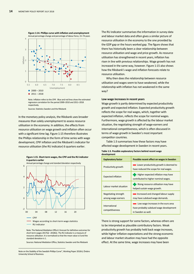

Note. Inflation refers to the CPIF. Blue and red lines show the estimated regression correlation for the period 2000–2010 and 2011–2018 respectively.

Sources: Statistics Sweden and the Riksbank

In the monetary policy analysis, the Riksbank uses broader measures than solely unemployment to assess resource utilisation in the economy. In addition, the effects from resource utilisation on wage growth and inflation often occur with a significant time lag. Figure 1:15 therefore illustrates the Phillips relationship in the form of time series with wage development, CPIF inflation and the Riksbank's indicator for resource utilisation (the RU indicator) 6 quarters earlier.

#### **Figure 1:15. Short‐term wages, the CPIF and the RU indicator 6 quarters earlier**



Note. The National Mediation Office's forecast for definitive outcomes for short-term wages 2017Q2-2018Q1. The RU indicator is a measure of resource utilisation. It is normalised so that the mean value is 0 and the standard deviation is 1.

Sources: National Mediation Office, Statistics Sweden and the Riksbank

The RU indicator summarises the information in survey data and labour market data and often gives a similar picture of resource utilisation in the economy to the one provided by the GDP gap or the hours worked gap. The figure shows that there has historically been a clear relationship between resource utilisation and wage and price growth. As resource utilisation has strengthened in recent years, inflation has risen in line with previous relationships. Wage growth has not increased in the same way, however. Figure 1:15 also shows how the Riksbank's wage and inflation forecasts relate to resource utilisation.

Why then does the relationship between resource utilisation and wages seem to have weakened, while the relationship with inflation has not weakened in the same way?

### **Low wage increases in recent years**

Wage growth is partly determined by expected productivity growth and expected inflation. Expected productivity growth reflects the scope for real wages, which, together with expected inflation, reflects the scope for nominal wages. Furthermore, wage growth is affected by the labour market situation, the negotiating strength of wage-earners and international competitiveness, which is often discussed in terms of wage growth in Sweden's most important competitor countries.

Table 1:3 summarises how these factors may have affected wage development in Sweden in recent years.

### **Table 1:3. Possible explanatory factors behind recent wage development**

| <b>Explanatory factor</b>                  | Possible recent effect on wages in Sweden                                                           |  |  |  |  |
|--------------------------------------------|-----------------------------------------------------------------------------------------------------|--|--|--|--|
| Productivity growth                        | Lower productivity growth is deemed to<br>have reduced the scope for real wages.                    |  |  |  |  |
| <b>Expected inflation</b>                  | Higher expected inflation may have<br>contributed to higher nominal wages.                          |  |  |  |  |
| Labour market situation                    | Rising resource utilisation may have<br>helped sustain wage growth.                                 |  |  |  |  |
| Negotiating strength<br>among wage-earners | Increased and changed labour supply<br>may have subdued wage demands.                               |  |  |  |  |
| International<br>competitiveness           | Low wage increases in the euro area<br>have probably subdued wage development<br>in Sweden as well. |  |  |  |  |

There is strong support for some factors, whereas others are to be interpreted as plausible contributory factors. Weak productivity growth has probably held back wage increases, while higher inflation expectations and the strong economic and labour market situation may have had the opposite effect. At the same time, wage increases may have been

Note on the Stability of the Swedish Phillips Curve", Working Paper 2018:6, Örebro University School of Business.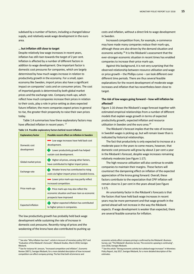subdued by a number of factors, including a changed labour supply, and relatively weak wage development in the euro area.

### **… but inflation still close to target**

Despite relatively low wage increases in recent years, inflation has still risen towards the target of 2 per cent. Inflation is affected by a number of different factors in addition to wage development. One important factor is domestic cost pressures for companies, which are largely determined by how much wages increase in relation to productivity growth in the economy. For a small, open economy like Sweden, import prices also have a significant impact on companies' costs and on consumer prices. The cost of imported goods is determined by both global market prices and the exchange rate. Company mark‐ups, which reflect how much companies increase their prices in relation to their costs, play a role in price‐setting as does expected future inflation; the more companies expect prices in general to rise, the greater their propensity to raise their own prices today.

Table 1:4 summarises how these explanatory factors may have affected inflation in recent years.<sup>17</sup>

### **Table 1:4. Possible explanatory factors behind recent inflation**

| <b>Explanatory factor</b> | Possible recent effect on inflation in Sweden                                                                          |
|---------------------------|------------------------------------------------------------------------------------------------------------------------|
| Domestic cost             | Low wage increases have held back cost<br>development.                                                                 |
| development               | Lower productivity growth has helped<br>sustain cost development.                                                      |
| Global market prices      | Higher oil prices, among other factors,<br>have contributed to higher import prices.                                   |
| Exchange rate             | Weaker krona has contributed to rising<br>costs via higher import prices in Swedish krona.                             |
|                           | Lower price mark-ups may partly reflect<br>increased competition.                                                      |
| Price mark-ups            | <b>Price mark-ups may also reflect the</b><br>economic situation and have risen as economic<br>prospects have improved |
| <b>Expected inflation</b> | Higher expected inflation has contributed<br>to higher prices in companies.                                            |

The low productivity growth has probably held back wage development while sustaining the rate of increase in domestic cost pressures. Recently rising oil prices and the weakening of the krona have also contributed to pushing up

costs and inflation, without a direct link to wage development in Sweden.

Increased competition from, for example, e‐commerce may have made many companies reduce their mark‐ups, although these are also driven by the demand situation and economic activity.18 It is the Riksbank's assessment that the ever‐stronger economic situation in recent times has enabled companies to increase their price mark‐ups.

Against this background, it is not very surprising that the observed relationship between resource utilisation and wage or price growth – the Phillips curve – can look different over different time periods. There are thus several feasible explanations for the recent development of moderate wage increases and inflation that has nevertheless been close to target.

### **The risk of low wages going forward – how will inflation be affected?**

Figure 1:16 shows the Riksbank's wage forecast together with estimated empirical relationships from a number of different models that explain wage growth in terms of expected productivity growth, expected inflation and resource utilisation in Sweden and the euro area.<sup>19</sup>

The Riksbank's forecast implies that the rate of increase in Swedish wages is picking up, but will remain lower than is indicated by historical relationships.

The fact that productivity is only expected to increase at a moderate pace in the years to come means, however, that domestic cost pressures will grow by about 2 per cent a year in the Riksbank's forecast, despite wage increases remaining relatively moderate (see Figure 1:17).

The high resource utilisation will also continue to enable companies to maintain their margins. These factors will counteract the dampening effect on inflation of the expected appreciation of the krona going forward. Overall, these factors contribute to the expectation that CPIF inflation will remain close to 2 per cent in the years ahead (see Figure 1:17).

An uncertainty factor in the Riksbank's forecasts is that the factors that have held back wage increases in recent years may be more permanent and that wage growth in the period ahead will not increase in the way the Riksbank expects. If wage development is weaker than expected, there are several feasible scenarios for inflation.

<sup>&</sup>lt;sup>17</sup> See also "Why inflation has risen", article in Account of monetary policy 2017 and "Evaluation of the Riksbank's forecasts", Riksbank Studies, March 2018, Sveriges Riksbank.

<sup>18</sup> See for instance M. Jonsson, "Increased competition and inflation", Economic Review 2007:2, Sveriges Riksbank, for a more detailed description of how increased competition can affect company pricing. The fact that both eCommerce and

economic activity affect company pricing is confirmed by the Riksbank's Business Survey; see "The Riksbank's Business Survey: The economic upswing is continuing", June 2018, Sveriges Riksbank.

<sup>&</sup>lt;sup>19</sup> See the article "Strong economic activity but subdued wage increases" in Monetary Policy Report, July 2017, Sveriges Riksbank, for a more detailed description of the estimates.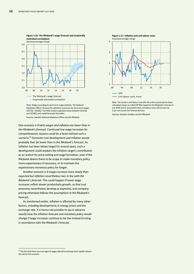

Note. Wages according to short‐term wage statistics. The National Mediation Office's forecast for definitive outcomes for short‐term wages 2017Q2–2018Q1. The field contains adjusted values between 2012Q1 and 2018Q1 and model forecasts thereafter.

Sources: Swedish National Mediation Office and the Riksbank

One scenario is if *both wages and inflation are lower than in the Riksbank's forecast*. Continued low wage increases for competitiveness reasons could be a factor behind such a scenario.20 Domestic cost development and inflation would probably then be lower than in the Riksbank's forecast. As inflation has been below target for several years, such a development could weaken the inflation target's contribution as an anchor for price‐setting and wage formation, even if the Riksbank deems there to be scope to make monetary policy more expansionary if necessary, or to maintain the expansionary monetary policy for longer.

Another scenario is if *wages increase more slowly than expected but inflation nevertheless rises in line with the Riksbank's forecast*. This could happen if lower wage increases reflect slower productivity growth, so that cost pressures nevertheless develop as expected, and company pricing otherwise follows the assumptions in the Riksbank's forecast.

As mentioned earlier, inflation is affected by many other factors, including developments in energy prices and the exchange rate. It is hence not possible to say in advance exactly how the inflation forecast and monetary policy would change if wage increases continue to be low instead of rising in accordance with the Riksbank's forecast.



Note. The trend in unit labour costs (for the entire economy) has been calculated using a so-called HP filter based on the Riksbank's forecast in July 2018 and an assumption that unit labour costs will increase by 2 per cent across the forecast horizon.

Sources: Statistics Sweden and the Riksbank

<sup>&</sup>lt;sup>20</sup> The fact that there are now signs of wages abroad increasing more rapidly reduces the risk for this scenario.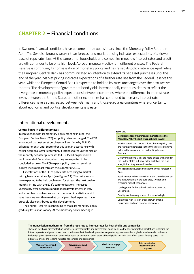# **CHAPTER 2** – Financial conditions

In Sweden, financial conditions have become more expansionary since the Monetary Policy Report in April. The Swedish krona is weaker than forecast and market pricing indicates expectations of a slower pace of repo rate rises. At the same time, households and companies meet low interest rates and credit growth continues to be on a high level. Abroad, monetary policy is in different phases. The Federal Reserve is continuing its normalisation of monetary policy and has raised its policy rate since April, while the European Central Bank has communicated an intention to extend its net asset purchases until the end of the year. Market pricing indicates expectations of a further rate rise from the Federal Reserve this year, while the European Central Bank is expected to hold policy rates unchanged over the next twelve months. The development of government bond yields internationally continues clearly to reflect the divergence in monetary policy expectations between economies, where the difference in interest rate levels between the United States and other economies has continued to increase. Interest rate differences have also increased between Germany and those euro area countries where uncertainty about economic and political developments is greater.

# International developments

# **Central banks in different phases**

In conjunction with its monetary policy meeting in June, the European Central Bank (ECB) left policy rates unchanged. The ECB announced that net asset purchases will continue by EUR 30 billion per month until September this year, in accordance with earlier decisions. After September, it intends to reduce the size of the monthly net asset purchases to EUR 15 billion per month until the end of December, when they are expected to be concluded entirely. The ECB expects policy rates to remain at current levels at least through the summer of 2019.

Expectations of the ECB's policy rate according to market pricing have fallen since April (see Figure 2:1). The policy rate is now expected to be held unchanged for at least the next twelve months, in line with the ECB's communications. Increased uncertainty over economic and political developments in Italy and a number of outcomes for macroeconomic statistics, which have been weaker than market participants had expected, have probably also contributed to this development.

The Federal Reserve is continuing to make its monetary policy gradually less expansionary. At the monetary policy meeting in

#### **Table 2:1.**

**Developments on the financial markets since the Monetary Policy Report was published in April** 

Market participants' expectations of future policy rates are relatively unchanged in the United States but have fallen in the euro area, the United Kingdom and Sweden.

Government bond yields are more or less unchanged in the United States but have fallen slightly in the euro area, United Kingdom and Sweden.

The krona has developed weaker than was forecast in April.

Stock market indices have risen in the United States but are at lower levels in the euro area, Sweden and emerging market economies.

Lending rates for households and companies are unchanged.

Credit growth among households remains high.

Continued high rates of credit growth among households and non‐financial companies.

### **The transmission mechanism ‐ from the repo rate to interest rates for households and companies**

The repo rate has a direct effect on short-term interbank rates and government bond yields via the overnight rate. Expectations regarding the future repo rate and government bond purchases affect the development of longer‐term government bond yields, which are also influenced by foreign yields. Government bond yields act as an anchor for other types of bond yields, which in turn affect banks' funding costs. This ultimately affects the lending rates for households and companies.

**Interest rates for households and companies Government bond yields Monetary policy and expectations Yields on mortgage bonds etc.**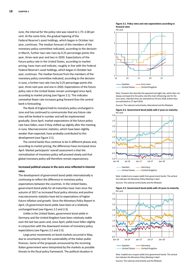June, the interval for the policy rate was raised to 1.75–2.00 per cent. At the same time, the gradual tapering of the Federal Reserve's asset holdings, which began in October last year, continues. The median forecast of the members of the monetary policy committee indicated, according to the decision in March, further two rate rises by 0.25 percentage points this year, three next year and two in 2020. Expectations of the future policy rate in the United States, according to market pricing, have risen and indicate, roughly in line with the Federal Federal Reserve's asset holdings, which began in October last year, continues. The median forecast from the members of the monetary policy committee indicated, according to the decision in June, a further two rate rises by 0.25 percentage points this year, three next year and one in 2020. Expectations of the future policy rate in the United States remain unchanged since April, according to market pricing (see Figure 2:1). This indicates somewhat fewer rate increases going forward than the central bank is forecasting.

The Bank of England held its monetary policy unchanged in June and has continued to communicate that any future rate rises will be limited in number and will be implemented gradually. Since April, market expectations of the future policy rate have fallen, even if they shifted up slightly after the meeting in June. Macroeconomic statistics, which have been slightly weaker than expected, have probably contributed to this development (see Figure 2:1).

The central banks thus continue to be in different phases and, according to market pricing, the differences have increased since April. Market participants' overall assessment is that the normalisation of monetary policy will proceed slowly and that global monetary policy will therefore remain expansionary.

# **Increased political unease in the euro area reflected in interest rates**

The development of government bond yields internationally is continuing to reflect the difference in monetary policy expectations between the countries. In the United States, government bond yields for all maturities have risen since the autumn of 2017 as increased fiscal policy stimulus and positive macroeconomic statistics have led to expectations of higher future inflation and growth. Since the Monetary Policy Report in April, US government bond yields have been at a relatively unchanged level (see Figures 2:2 and 2:3).

Unlike in the United States, government bond yields in Germany and the United Kingdom have been relatively stable over the last two years and, since April, yields have fallen slightly in conjunction with the downward revision of monetary policy expectations (see Figures 2:2 and 2:3).

Large price movements on bond markets occurred in May, due to uncertainty over the sustainability of the Italian public finances. Some of the proposals announced by the incoming Italian government were interpreted by the markets as possible threats to the fiscal policy framework. The political situation in





Note. Forward rates describe the expected overnight rate, which does not always correspond to the policy rate (the main refinancing rate for the euro area). Unbroken lines are estimated on 29 June 2018, broken lines are estimated on 27 April 2018.

Sources: The national central banks, Macrobond and the Riksbank



**Figure 2:2. Government bond yields with 2 years to maturity**  Per cent

Note. Implied zero‐coupon yields from government bonds. The vertical line indicates the Monetary Policy Meeting in April.

Sources: The national central banks and the Riksbank



**Figure 2:3. Government bond yields with 10 years to maturity**  Per cent

Note. Implied zero‐coupon yields from government bonds. The vertical line indicates the Monetary Policy Meeting in April.

Sources: The national central banks and the Riksbank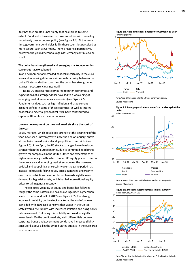Italy has thus created uncertainty that has spread to some extent. Bond yields have risen in those countries with prevailing uncertainty over economic policy (see Figure 2:4). At the same time, government bond yields fell in those countries perceived as more secure, such as Germany. From a historical perspective, however, the yield differentials against Germany continue to be small.

# **The dollar has strengthened and emerging market economies' currencies have weakened**

In an environment of increased political uncertainty in the euro area and increasing differences in monetary policy between the United States and other countries, the dollar has strengthened against most currencies since April.

Rising US interest rates compared to other economies and expectations of a stronger dollar have led to a weakening of emerging market economies' currencies (see Figure 2:5). Fundamental risks, such as high inflation and large current account deficits in some of these countries, as well as internal political and external geopolitical risks, have contributed to capital outflows from these economies.

# **Uneven development on the stock markets since the start of the year**

Equity markets, which developed strongly at the beginning of the year, have seen uneven growth since the end of January, above all due to increased political and geopolitical uncertainty (see Figure 2:6). Since April, the US stock exchanges have developed stronger than the European ones, due to continued good profit growth for companies in the United States and expectations of higher economic growth, which has led US equity prices to rise. In the euro area and emerging market economies, the increased political and geopolitical uncertainty over the same period has instead led towards falling equity prices. Renewed uncertainty over trade restrictions has contributed towards slightly lower demand for high-risk assets, which has led international equity prices to fall in general recently.

The expected volatility of equity and bonds has followed roughly the same pattern and has on average been higher than levels in the second half of 2017 (see Figure 2.7). The strong increase in volatility on the stock market at the end of January coincided with increased concerns that wages in the United States would rise rapidly, with increased inflation and rising policy rates as a result. Following this, volatility returned to slightly lower levels. On the credit markets, yield differentials between corporate bonds and government bonds have increased slightly since April, above all in the United States but also in the euro area to a certain extent.



Note. Yield differentials refer to 10‐year benchmark bonds. Source: Macrobond





Note. A value higher than 100 indicates a weaker exchange rate. Source: Macrobond



**Figure 2:6. Stock market movements in local currency**  Index, 4 January 2016 = 100

Note. The vertical line indicates the Monetary Policy Meeting in April. Source: Macrobond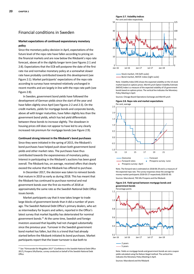# Financial conditions in Sweden

# **Market expectations of continued expansionary monetary policy**

Since the monetary policy decision in April, expectations of the future level of the repo rate have fallen according to pricing on the financial markets and are now below the Riksbank's repo rate forecast, above all in the slightly longer term (see Figures 2:1 and 2:8). Expectations that the ECB will postpone the date of the first rate rise and normalise monetary policy at a somewhat slower rate have probably contributed towards this development (see Figure 2:1). Market participants' expectations of the repo rate according to surveys have remained relatively unchanged in recent months and are largely in line with the repo rate path (see Figure 2:8).

In Sweden, government bond yields have followed the development of German yields since the start of the year and have fallen slightly since April (see Figures 2:2 and 2:3). On the credit markets, yields for mortgage bonds and corporate bonds, above all with longer maturities, have fallen slightly less than the government bond yields, which has led yield differentials between these bonds to increase slightly. The slowdown in housing prices still does not appear to have led to any clearly increased risk premium for mortgage bonds (see Figure 2:9).

### **Continued strong interest in the Riksbank's bond purchases**

Since they were initiated in the spring of 2015, the Riksbank's bond purchases have helped push down both government bond yields and other market rates. The purchases have thus contributed towards the expansiveness of monetary policy. Interest in participating in the Riksbank's auctions has been good overall. The Riksbank has, on average, received offers that clearly exceed the volume that the Riksbank has offered to purchase.

In December 2017, the decision was taken to reinvest bonds that mature in 2019 as early as during 2018. This has meant that the Riksbank has continued to purchase nominal and real government bonds over the first six months of 2018 at approximately the same rate as the Swedish National Debt Office issues bonds.

Market participants say that it now takes longer to trade large blocks of government bonds than it did a number of years ago. The Swedish National Debt Office's primary dealers, who act as intermediary for buyers and sellers, reported in the Office's latest survey that market liquidity has deteriorated for nominal government bonds.21 At the same time, Swedish and foreign investors assessed that liquidity had not changed substantially since the previous year. Turnover in the Swedish government bond market has fallen, but this is a trend that had already started before the Riksbank initiated its bond purchases. Market participants report that the lower turnover is due both to

<u> 1989 - Johann Barn, mars eta bat erroman erroman erroman erroman erroman erroman erroman erroman erroman err</u>



Bond market, MOVE index (right scale)

Note. Volatility Index (VIX) shows the expected volatility on the US stock market based on options prices. Merrill Lynch Option Volatility Estimate (MOVE) Index is a measure of the expected volatility of US government bonds based on options prices. The vertical line indicates the Monetary Policy Meeting in April.

Sources: Chicago Board Operations Exchange and Merrill Lynch





Note. The forward rate is estimated on 2018‐06‐29 and is a measure of the expected repo rate. The survey responses show the average for money market participants 2018‐03‐27 respectively 2018‐05‐30.

Sources: Macrobond, TNS Sifo Prospera and the Riksbank

### **Figure 2:9. Yield spread between mortgage bonds and government bonds**



Note. Yields on mortgage bonds and government bonds are zero coupon yields calculated using the Nelson‐Siegel method. The vertical line indicates the Monetary Policy Meeting in April.

Sources: Macrobond and the Riksbank

<sup>21</sup> See "Förtroendet för Riksgälden 2017" (Confidence in the Swedish National Debt Office 2017), Prospera Sifo/Kantar, survey conducted on behalf of the Swedish National Debt Office.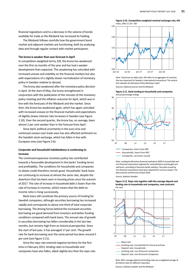financial regulations and to a decrease in the volume of bonds

The Riksbank follows carefully how the government bond market and adjacent markets are functioning, both by analysing data and through regular contact with market participants.

available for trade as the Riksbank has increased its holding.

### **The krona is weaker than was forecast in April**

In competition‐weighted terms, KIX, the krona has weakened over the first six months of the year and has had a weaker development than expected. This weakening has coincided with increased unease and volatility on the financial markets but also with expectations of a slightly slower normalisation of monetary policy in Sweden relative to abroad.

The krona also weakened after the monetary policy decision in April. At the start of May, the krona strengthened in conjunction with the publication of the minutes of the monetary policy meeting and the inflation outcome for April, which was in line with the forecasts of the Riksbank and the market. Since then, the krona has weakened again, which has again coincided with increased unease on the financial markets and expectations of slightly slower interest rate increases in Sweden (see Figure 2:10). Over the second quarter, the krona has, on average, been almost 2 per cent weaker than in the forecast from April.

Since April, political uncertainty in the euro area and continued unease over trade wars has also affected sentiment on the Swedish stock exchange, which has fallen in line with European ones (see Figure 2:6).

# **Corporate and household indebtedness is continuing to increase**

The continued expansive monetary policy has contributed towards a favourable development in the banks' funding terms and profitability. The conditions for households and companies to obtain credit therefore remain good. Households' bank loans are continuing to increase at almost the same rate, despite the downturn that has been seen in housing prices since the autumn of 2017. The rate of increase in household debt is faster than the rate of increase in incomes, which means that the debt-toincome ratio is rising successively.

Bank loans still constitute the primary source of funding for Swedish companies, although securities borrowing has increased rapidly and corresponds to about one‐third of total corporate borrowing. The driving forces behind the increased securities borrowing are good demand from investors and better funding conditions compared with bank loans. The annual rate of growth in securities borrowing has fallen considerably in the last two months, but remains high from an historical perspective. Since the start of last year, it has averaged 17 per cent. The growth rate for bank borrowing over the same period has been around 5 per cent (see Figure 2:11).

Since the repo rate entered negative territory for the first time in February 2015, lending rates to households and companies have also fallen, albeit slightly less than the repo rate.



**Figure 2:10. Competition‐weighted nominal exchange rate, KIX** 

Note. Outcomes are daily rates. KIX refers to an aggregate of countries that are important for Sweden's international transactions. The vertical line indicates the Monetary Policy Meeting in April.

Sources: National sources and the Riksbank

Index, 1992‐11‐18 = 100



Note. Lending by Monetary financial institutions (MFI) to households and non‐financial corporations adjusted for reclassifications and bought and sold loans, according to financial market statistics. Securities issued by non‐financial corporations have been adjusted for currency impact. The data extends until the end of April 2018.

Source: Statistics Sweden



**Figure 2:12. Repo rate together with the average deposit and lending rate to households and companies, new contracts**  Per cent

...... Deposit rate, households

...... Deposit rate, non-financial companies Lending rate, non‐financial companies

Note. MFIs' average deposit and lending rates are a weighted average of all interest rates for different maturities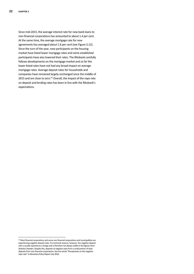Since mid‐2015, the average interest rate for new bank loans to non‐financial corporations has amounted to about 1.4 per cent. At the same time, the average mortgage rate for new agreements has averaged about 1.6 per cent (see Figure 2:12). Since the turn of the year, new participants on the housing market have listed lower mortgage rates and some established participants have also lowered their rates. The Riksbank carefully follows developments on the mortgage market and so far the lower listed rates have not had any broad impact on average mortgage rates. Average deposit rates for households and companies have remained largely unchanged since the middle of 2015 and are close to zero.<sup>22</sup> Overall, the impact of the repo rate on deposit and lending rates has been in line with the Riksbank's expectations.

<u> 1989 - Johann Barn, mars eta bat erroman erroman erroman erroman erroman erroman erroman erroman erroman err</u>

 $22$  Most financial corporations and some non-financial corporations and municipalities are experiencing negative deposit rates. For technical reasons, however, the negative deposit rate is usually reported as a charge and is therefore not always visible in the figures from Statistics Sweden. Despite this, deposits at negative rates form a small portion of total deposits from non‐financial corporations. See the article "Perspectives on the negative repo rate" in Monetary Policy Report July 2016.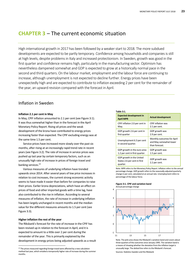# **CHAPTER 3** – The current economic situation

High international growth in 2017 has been followed by a weaker start to 2018. The more subdued developments are expected to be partly temporary. Confidence among households and companies is still at high levels, despite problems in Italy and increased protectionism. In Sweden, growth was good in the first quarter and confidence remains high, particularly in the manufacturing sector. Optimism has nevertheless dampened somewhat and GDP is expected to grow at a historically normal pace in the second and third quarters. On the labour market, employment and the labour force are continuing to increase, although unemployment is not expected to decline further. Energy prices have been unexpectedly high and are expected to contribute to inflation exceeding 2 per cent for the remainder of the year, an upward revision compared with the forecast in April.

**Table 3:1.**

# Inflation in Sweden

### **Inflation 2.1 per cent in May**

In May, CPIF inflation amounted to 2.1 per cent (see Figure 3:1). It was thus somewhat higher than in the forecast in the April Monetary Policy Report. Rising oil prices and the weak development of the krona have contributed to energy prices increasing faster than expected. The CPIF excluding energy was at the same time 1.5 per cent.

Service prices have increased more slowly over the past six months, after rising at an increasingly rapid trend rate in recent years (see Figure 3:2). The rate of increase in service prices was pushed up last year by certain temporary factors, such as an unusually high rate of increase in prices of foreign travel and banking services.<sup>23</sup>

Various measures of underlying inflation have trended upwards since 2014. After several years of low price increases in relation to cost increases, the current strong economic activity seems to have made it easier than before for companies to raise their prices. Earlier krona depreciations, which have an effect on prices of food and other imported goods with a time lag, have also contributed to the rise in inflation. According to several measures of inflation, the rate of increase in underlying inflation has been largely unchanged in recent months and the median value for the different measures amounts to 1.5 per cent (see Figure 3:3).

### **Higher inflation the rest of the year**

<u> 1989 - Johann Barn, mars eta bat erroman erroman erroman erroman erroman erroman erroman erroman erroman err</u>

The Riksbank's forecast for the rate of increase in the CPIF has been revised up in relation to the forecast in April, and it is expected to amount to a little over 2 per cent during the remainder of the year. This is primarily explained by the development in energy prices being adjusted upwards as a result

| 1401e 3.1.                                                           |                                                                        |
|----------------------------------------------------------------------|------------------------------------------------------------------------|
| <b>Expected development in</b><br><b>April MPR</b>                   | <b>Actual development</b>                                              |
| CPIF inflation 2.0 per cent in<br>May.                               | <b>CPIF</b> inflation was<br>2.1 per cent.                             |
| GDP growth 2.6 per cent in<br>first quarter                          | GDP growth was<br>2.9 per cent.                                        |
| Unemployment 6.3 per cent<br>in second quarter.                      | Monthly outcomes for April<br>and May somewhat lower<br>than forecast. |
| GDP growth in the euro area<br>1.2 per cent in first quarter.        | GDP growth was<br>1.5 per cent.                                        |
| GDP growth in the United<br>States 2.6 per cent in first<br>quarter. | GDP growth was<br>2.2 per cent.                                        |

Note. MPR refers to the Monetary Policy Report. Inflation refers to the annual percentage change. GDP growth refers to the seasonally‐adjusted quarterly change in per cent, calculated at an annual rate. Unemployment refers to percentage of the labour force.



Note. The pink area shows the Riksbank's variation band and covers about three‐quarters of the outcomes since January 1995. The variation band is a means of showing whether the deviation from the inflation target is unusually large. The dotted line refers to the Riksbank's forecast.

<sup>&</sup>lt;sup>23</sup> The prices measured regarding foreign travel were affected by a new calculation method last year, which entailed a temporarily higher rate of increase during the summer months.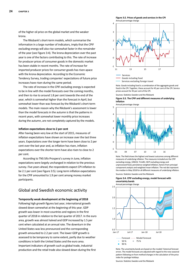of the higher oil price on the global market and the weaker krona.

The Riksbank's short‐term models, which summarise the information in a large number of indicators, imply that the CPIF excluding energy will also rise somewhat faster in the remainder of the year (see Figure 3:4). The krona depreciation over the past year is one of the factors contributing to this. The rate of increase for producer prices of consumer goods in the domestic market has been stable in recent months. The rate of increase for imported producer prices for consumer goods has risen apace with the krona depreciation. According to the Economic Tendency Survey, trading companies' expectations of future price increases have risen during the same period.

The rate of increase in the CPIF excluding energy is expected to be in line with the model forecasts over the coming months, and then to rise to around 1.8 per cent towards the end of the year, which is somewhat higher than the forecast in April, but somewhat lower than was forecast by the Riksbank's short‐term models. The main reason why the Riksbank's assessment is lower than the model forecasts in the autumn is that the patterns in recent years, with somewhat lower monthly price increases during the autumn, are not completely captured by the models.

### **Inflation expectations close to 2 per cent**

After having been very low at the start of 2015, measures of inflation expectations have shown an increase over the last three years. Expectations over the longer term have been close to 2 per cent over the last year and, as inflation has risen, inflation expectations over the shorter term have also risen to close to 2 per cent.

According to TNS Sifo Prospera's survey in June, inflation expectations were largely unchanged in relation to the previous survey. Five years ahead, the respondents expect CPI inflation to be 2.1 per cent (see Figure 3:5). Long-term inflation expectations for the CPIF amounted to 1.9 per cent among money market participants.

# Global and Swedish economic activity

**Temporarily weak development at the beginning of 2018**  Following high growth figures last year, international growth slowed down somewhat at the beginning of this year. GDP growth was lower in most countries and regions in the first quarter of 2018 in relation to the last quarter of 2017. In the euro area, growth was almost halved and GDP increased by 1.5 per cent when calculated at an annual rate. The downturn in the United States was less pronounced and the corresponding growth amounted to 2.2 per cent. The lower GDP growth is assessed to be temporary to some extent, partly due to weather conditions in both the United States and the euro area. Important indicators of growth such as global trade, industrial production and the retail trade also slowed down during the first





Note. Goods including food is a combination of the aggregate goods and food in the CPI. Together, these account for 45 per cent of the CPI. Service prices account for 45 per cent of the CPI.

Sources: Statistics Sweden and the Riksbank

### **Figure 3:3. The CPIF and different measures of underlying inflation**



Note. The field shows the highest and lowest outcomes among different measures of underlying inflation. The measures included are the CPIF excluding energy, UND24, Trim85, HICP excluding energy and unprocessed food, persistence‐weighed inflation, factors from principal component analysis and weighted mean inflation. The red dot represent the median in May 2018 for all different measures of underlying inflation. Sources: Statistics Sweden and the Riksbank

**Figure 3:4. CPIF excluding energy, model forecast with uncertainty bands** 



Note. The uncertainty bands are based on the models' historical forecast errors. The model forecasts are adjusted with regard to the new seasonal pattern following on from method changes in the calculation of the price index for package holidays.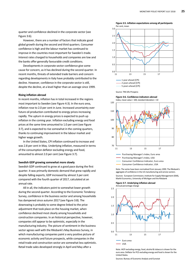**Figure 3:5. Inflation expectations among all participants**  Per cent, mean

quarter and confidence declined in the corporate sector (see Figure 3:6).

However, there are a number of factors that indicate good global growth during the second and third quarters. Consumer confidence is high and the labour market has continued to improve in the countries most important for Sweden's trade. Interest rates charged to households and companies are low and the banks offer generally favourable credit conditions.

Developments in corporate sector confidence give some cause for concern, as it has declined during the second quarter. In recent months, threats of extended trade barriers and concern regarding developments in Italy have probably contributed to the decline. However, confidence in the corporate sector is still, despite the decline, at a level higher than an average since 1999.

### **Rising inflation abroad**

In recent months, inflation has in total increased in the regions most important to Sweden (see Figure 4:3). In the euro area, inflation rose to 2.0 per cent in June. Increased uncertainty over future oil production contributed to energy prices increasing rapidly. The upturn in energy prices is expected to push up inflation in the coming year. Inflation excluding energy and food prices at the same time amounted to 1.0 per cent (see Figure 3:7), and is expected to rise somewhat in the coming quarters, thanks to continuing improvement in the labour market and higher wage growth.

In the United States, CPI inflation continued to increase and was 2.8 per cent in May. Underlying inflation, measured in terms of the consumption deflator excluding energy and food, amounted to almost 2.0 per cent (see Figure 3:7).

### **Swedish GDP growing somewhat more slowly**

Swedish GDP continued to grow at a good pace during the first quarter. It was primarily domestic demand that grew rapidly and despite falling exports, GDP increased by almost 3 per cent compared with the fourth quarter of 2017, calculated at an annual rate.

All in all, the indicators point to somewhat lower growth during the second quarter. According to the Economic Tendency Survey, confidence in the business sector and among households has dampened since autumn 2017 (see Figure 3:8). The downswing is probably to some degree linked to the price adjustment that took place on the housing market, when confidence declined most clearly among households and construction companies. In an historical perspective, however, companies still appear to be optimistic, especially in the manufacturing industry. The picture of sentiment in the business sector agrees well with the Riksbank's May Business Survey, in which manufacturing companies paint a very positive picture of economic activity and future prospects, while companies in the retail trade and construction sector are somewhat less optimistic. Retail trade sales developed strongly in April and May after a



Source: TNS Sifo Prospera



Consumer Confidence Indicator, USA

Note. The series have been normalised from January 1999. The Riksbank's aggregate of confidence in the US manufacturing and service sectors.

Sources: European Commission, Institute for Supply Management (ISM), Markit Economics, University of Michigan and the Riksbank

**Figure 3:7. Underlying inflation abroad** 



Note. HICP excluding energy, food, alcohol & tobacco is shown for the euro area. Deflator for PCE excluding energy and food is shown for the United States.

Sources: Bureau of Economic Analysis and Eurostat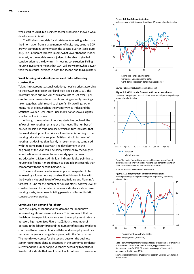weak start to 2018, but business sector production showed weak development in April.

The Riksbank's models for short‐term forecasting, which use the information from a large number of indicators, point to GDP growth dampening somewhat in the second quarter (see Figure 3:9). The Riksbank's forecast is somewhat lower than the model forecast, as the models are not judged to be able to give full consideration to the downturn in housing construction. Falling housing investment means that GDP will grow somewhat slower than the historical average in both the second and third quarters.

### **Weak housing price developments and reduced housing construction**

Taking into account seasonal variations, housing prices according to the HOX index rose in April and May (see Figure 1:11). The downturn since autumn 2017 thus amounts to just over 5 per cent for tenant‐owned apartments and single‐family dwellings taken together. With regard to single‐family dwellings, other measures of prices, such as the Property Price Index and the Statistics Sweden Real Estate Price Index, so far show a slightly smaller decline in prices.

Although the number of housing starts has declined, the inflow of new housing remains at a high level. The number of houses for sale has thus increased, which in turn indicates that the weak development in prices will continue. According to the housing price statistics supplier, Mäklarstatistik, turnover of housing has declined significantly in recent months, compared with the same period last year. The development at the beginning of the year could be partly explained by the tougher amortisation requirement for new mortgages that was introduced on 1 March. Almi's loan indicator is also pointing to households finding it more difficult to obtain loans recently than compared with the second half of 2017.

The recent weak development in prices is expected to be followed by a lower housing construction this year in line with the Swedish National Board of Housing, Building and Planning's forecast in June for the number of housing starts. A lower level of construction can be detected in several indicators such as fewer housing starts, fewer new building permits and less optimistic construction companies.

### **Continued high demand for labour**

Both the supply of labour and the demand for labour have increased significantly in recent years. This has meant that both the labour force participation rate and the employment rate are at record high levels (see Figure 4:10). Both the number of persons in the labour force and the number of persons employed continued to increase in April and May and unemployment has remained largely unchanged compared with the first quarter. The monthly outcomes for the second quarter, the business sector recruitment plans as described in the Economic Tendency Survey and the number of job vacancies according to Statistics Sweden all indicate that employment will continue to increase in



**Figure 3:8. Confidence indicators** 

Confidence Indicator, Total Business Sector Consumer Confidence Indicator

Source: National Institute of Economic Research

#### **Figure 3:9. GDP, model forecast with uncertainty bands**

Quarterly change in per cent, calculated as an annual percentage change, seasonally‐adjusted data



Note. The model forecast is an average of forecasts from different statistical models. The vertical line refers to a 50 per cent uncertainty band based on the models' historical forecast errors.

Sources: Statistics Sweden and the Riksbank

**Figure 3:10. Employment and recruitment plans**  Annual percentage change and net figures respectively, seasonally‐ adjusted data



Employment (left scale)

Note. Recruitment plans refer to expectations of the number of employed in the business sector three months ahead, lagged one quarter. Recruitment plans for 2018 Q2 refer to an average of the monthly outcomes in April to June 2018.

Sources: National Institute of Economic Research, Statistics Sweden and the Riksbank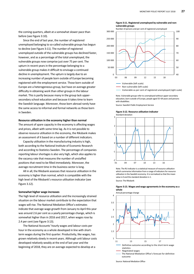the coming quarters, albeit at a somewhat slower pace than before (see Figure 3:10).

Since the end of last year, the number of registered unemployed belonging to so‐called vulnerable groups has begun to decline (see Figure 3:11). The number of registered unemployed outside of the vulnerable groups has declined faster, however, and as a percentage of the total unemployed, the vulnerable groups now comprise just over 75 per cent. The upturn in recent years in the percentage belonging to a vulnerable group makes it difficult to envisage a continued decline in unemployment. The upturn is largely due to an increasing number of people born outside of Europe becoming registered with the employment service. Those born outside of Europe are a heterogeneous group, but have on average greater difficulty in obtaining work than other groups in the labour market. This is partly because many in the group lack upper‐ secondary school education and because it takes time to learn the Swedish language. Moreover, those born abroad rarely have the same access to informal and formal networks as those born in Sweden.

### **Resource utilisation in the economy higher than normal**

The amount of spare capacity in the economy is affecting wages and prices, albeit with some time lag. As it is not possible to observe resource utilisation in the economy, the Riksbank makes an assessment of it based on a number of different indicators.

Capacity utilisation in the manufacturing industry is high, both according to the National Institute of Economic Research and according to Statistics Sweden. The percentage of companies reporting labour shortages is also very high, which also applies to the vacancy rate that measures the number of unstaffed positions that need to be filled immediately. Moreover, the average recruitment time in the business sector is long.

All in all, the Riksbank assesses that resource utilisation in the economy is higher than normal, which is compatible with the high level of the Riksbank's resource utilisation indicator (see Figure 3.12).

### **Somewhat higher wage increases**

The high level of resource utilisation and the increasingly strained situation on the labour market contribute to the expectation that wages will rise. The National Mediation Office's estimates indicate that average wage growth from January to April this year was around 2.6 per cent as a yearly percentage change, which is somewhat higher than in 2016 and 2017, when wages rose by 2.4 per cent (see Figure 3:13).

The National Accounts' hourly wages and labour costs per hour in the economy as a whole developed in line with short‐ term wages during the first quarter. Productivity, like wages, has grown relatively slowly in recent years. Although unit labour costs developed relatively weakly at the end of last year and the beginning of 2018, they are on average expected to develop at a

### **Figure 3:11. Registered unemployed by vulnerable and non‐ vulnerable groups**



- 
- Non‐vulnerable (left scale)
- Vulnerable as per cent of registered unemployed (right scale)

Note. Vulnerable groups refer to unemployed without upper‐secondary education, born outside of Europe, people aged 55–64 years and persons with disabilities.

Source: Swedish Public Employment Service

#### **Figure 3:12. Resource utilisation indicator**  Standard deviation



Note. The RU indicator is a statistical measure of resource utilisation which summarise information from a range of indicators for resource utilisation in the Swedish economy. It is normalised so that the mean value is 0 and the standard deviation is 1. Source: The Riksbank

### **Figure 3:13. Wages and wage agreements in the economy as a whole**



....... The National Mediation Office's forecast for definitive outcome

Source: National Mediation Office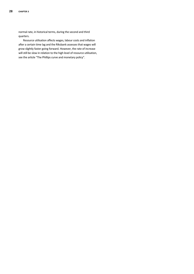normal rate, in historical terms, during the second and third quarters.

Resource utilisation affects wages, labour costs and inflation after a certain time lag and the Riksbank assesses that wages will grow slightly faster going forward. However, the rate of increase will still be slow in relation to the high level of resource utilisation, see the article "The Phillips curve and monetary policy".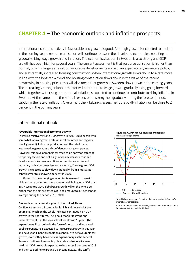# **CHAPTER 4** – The economic outlook and inflation prospects

International economic activity is favourable and growth is good. Although growth is expected to decline in the coming years, resource utilisation will continue to rise in the developed economies, resulting in gradually rising wage growth and inflation. The economic situation in Sweden is also strong and GDP growth has been high for several years. The current assessment is that resource utilisation is higher than normal, which is largely a result of favourable developments abroad, an expansionary monetary policy, and substantially increased housing construction. When international growth slows down to a rate more in line with the long‐term trend and housing construction slows down in the wake of the recent downswing in housing prices, this will also mean that growth in Sweden slows down in the coming years. The increasingly stronger labour market will contribute to wage growth gradually rising going forward, which together with rising international inflation is expected to continue to contribute to rising inflation in Sweden. At the same time, the krona is expected to strengthen gradually during the forecast period, subduing the rate of inflation. Overall, it is the Riksbank's assessment that CPIF inflation will be close to 2 per cent in the coming years.

# International outlook

### **Favourable international economic activity**

Following relatively strong GDP growth in 2017, 2018 began with somewhat weaker growth rates in most countries and regions (see Figure 4:1). Industrial production and the retail trade weakened in general, as did confidence among companies. However, this development is assessed to be partly an effect of temporary factors and not a sign of clearly weaker economic developments. As resource utilisation continues to rise and monetary policy becomes less expansionary, KIX‐weighted GDP growth is expected to slow down gradually, from almost 3 per cent this year to just over 2 per cent in 2020.

Growth in the emerging economies is assessed to remain high. As these countries have a greater weight in global GDP than in KIX‐weighted GDP, global GDP growth will on the whole be higher than the KIX‐weighted GDP and amount to 3.8 per cent on average during the period 2018–2020.

### **Economic activity remains good in the United States**

Confidence among US companies is high and households are optimistic, which on the whole indicates continued high GDP growth in the short term. The labour market is strong and unemployment is at the lowest level for almost 20 years. The expansionary fiscal policy in the form of tax cuts and increased public expenditure is expected to increase GDP growth this year and next year. Financial conditions continue to be favourable for growth, even if they become less expansionary as the Federal Reserve continues to raise its policy rate and reduce its asset holdings. GDP growth is expected to be almost 3 per cent in 2018 and then to decline to around 2 per cent in 2020. The tariffs



...... USA ...... United Kingdom ...... KIX ...... Euro area

Note. KIX is an aggregate of countries that are important to Sweden's international transactions.

Sources: Bureau of Economic Analysis, Eurostat, national sources, Office for National Statistics and the Riksbank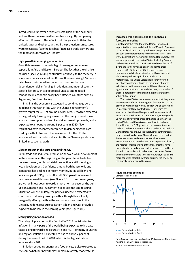introduced so far cover a relatively small part of the economy and are therefore assessed to only have a slightly dampening effect on US growth. This effect could be greater both for the United States and other countries if the protectionist measures were to escalate (see the fact box "Increased trade barriers and the Riksbank's forecast: an update").

### **High growth in emerging economies**

Growth is assessed to remain high in emerging economies, especially in Asia and Eastern Europe. The fact that the oil price has risen (see Figure 4:2) contributes positively to the recovery in some economies, especially in Russia. However, rising US interest rates have contributed to concern in countries that are dependent on dollar funding. In addition, a number of country‐ specific factors such as geopolitical unease and reduced confidence in economic policy have affected countries such as Argentina, Brazil and Turkey.

In China, the economy is expected to continue to grow at a good pace this year, in line with the Chinese government's growth target for GDP of around 6.5 per cent. Growth is expected to be gradually lower going forward as the readjustment towards a more consumption and services-driven growth proceeds, and is expected to amount to around 6 per cent in 2020. New regulations have recently contributed to dampening the high credit growth. In line with the assessment for the US, the announced and partly introduced tariffs on Chinese goods have limited impact on growth.

### **Slower growth in the euro area and the UK**

Retail trade and industrial production showed weak development in the euro area at the beginning of the year. Retail trade has since recovered, while industrial production is still showing a weak development. Confidence among both households and companies has declined in recent months, but is still high and indicates good GDP growth. All in all, GDP growth is assessed to be above normal this year (see Figure 4:1). In the coming years, growth will slow down towards a more normal pace, as the pent‐ up consumption and investment needs are met and resource utilisation will rise. In Italy, the political unease is expected to contribute to slowing down growth, although this will only marginally affect growth in the euro area as a whole. In the United Kingdom, resource utilisation is high and GDP growth is expected to be low in the coming years (see Figure 4:1).

### **Slowly rising inflation abroad**

The rising oil price during the first half of 2018 contributes to inflation in many parts of the world being expected to increase faster going forward (see Figures 4:2 and 4:3). For many countries and regions inflation is expected to rise to above 2 per cent during the second half of 2018, which is the highest rate of increase since 2011.

Inflation excluding energy and food prices, is also expected to rise somewhat, but nevertheless remain relatively moderate. In

### **Increased trade barriers and the Riksbank's forecast: an update**

On 23 March this year, the United States introduced import tariffs on steel and aluminium of 25 and 10 per cent respectively. All in all, these goods comprise just under two per cent of the total imports to the United States. Timelimited exemptions were initially granted for several of the largest exporters to the United States, including Canada and Mexico, as well as countries within the EU, but as of 1 June the tariffs have also begun to apply to these countries. On 22 June the EU introduced counter‐ measures, which include extended tariffs on steel and aluminium products, agricultural products and motorcycles. The United States has recently notified intentions to introduce tariffs on the import of motor vehicles and vehicle components. This could entail a significant escalation of the trade barriers, as the value of these imports is more than ten times greater than the value of steel import.

The United States has also announced that they are to raise import tariffs on Chinese goods for a total of USD 50 billion, of which goods worth 34 billion will be covered by 25‐per cent tariffs with effect from 6 July. China has announced that they will respond with equivalent tariff increases on goods from the United States, starting 6 July. So far, a relatively small share of the trade between the United States and China is concerned, which indicates a limited impact on GDP growth in the two countries. In addition to the tariff increases that have been decided, the United States has announced that further tariff increases may be introduced against China. Moreover, the United States has announced measures to make Chinese investments in the United States more expensive. All in all, the macroeconomic effects of the measures that have been introduced and announced so far are assessed to be limited. If the trade conflicts between the United States and other countries were to escalate further, or to lead to more countries establishing trade barriers, the effects on the global economy could be greater.





Note. Forward prices are calculated as a 15‐day average. The outcome refers to monthly averages of spot prices.

Sources: Macrobond and the Riksbank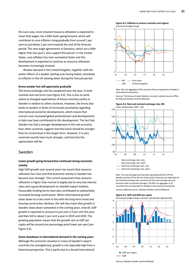the euro area, more strained resource utilisation is expected to mean that wages rise a little faster going forward, which will contribute to core inflation rising gradually from around 1 per cent to just below 2 per cent towards the end of the forecast period. The new wage agreements in Germany, which are a little higher than last year's, also support this picture. In the United States, core inflation has risen somewhat faster and this development is expected to continue as resource utilisation becomes increasingly strained.

Weaker demand in the United Kingdom, together with the earlier effects of a weaker sterling now having faded, contribute to inflation in the UK slowing down during the forecast period.

### **Krona weaker but will appreciate gradually**

The krona exchange rate has weakened over the year, in both nominal and real terms (see Figure 4:4). This is due to some extent to changed expectations of future monetary policy in Sweden in relation to other countries. However, the krona also tends to weaken in times of increased uncertainty regarding international economic developments, which means that concern over increased global protectionism and developments in Italy may have contributed to this development. The fact that Sweden has had a stronger development in the real economy than other countries suggests that the krona should be stronger than its current level in the longer term. However, it is very uncertain exactly how much stronger, and how fast the appreciation will be.

# Sweden

### **Lower growth going forward but continued strong economic activity**

High GDP growth over several years has meant that resource utilisation has risen and that economic activity in Sweden has become ever stronger. The current assessment that resource utilisation is higher than normal is largely due to very low interest rates and a good development on Swedish export markets. Favourable funding terms have also contributed to substantially increased housing construction. When international growth slows down to a rate more in line with the long-term trend and housing construction declines, this will also mean that growth in Sweden slows down somewhat in the coming years. Overall, GDP growth is expected to amount to just over 2.5 per cent this year and then fall to about 2 per cent a year in 2019 and 2020. The growing population means that the growth rate as GDP per capita will be around one percentage point lower per year (see Figure 4:5).

**Some slowdown in international demand in the coming years**  Although the economic situation in many of Sweden's export countries has strengthened, growth is not especially high from a historical perspective. This is partly due to a broad international





...... USA ...... United Kingdom

Note. KIX is an aggregate of the countries that are important to Sweden's international transactions.

Sources: The Bureau of Labor Statistics, Eurostat, national sources, Office for National Statistics and the Riksbank





...... Real exchange rate, April

...... Nominal exchange rate, July

...... Nominal exchange rate, April

Note. The real exchange rate has been calculated with the CPIF for Sweden and the CPI for the rest of the world. Outcomes are daily data for the nominal exchange rate, outcomes for the real exchange rate and forecasts refer to quarterly averages. The KIX is an aggregate of 32 countries that are important for Sweden's international transactions.

Sources: National sources, Statistics Sweden and the Riksbank

#### **Figure 4:5. GDP and GDP per capita**

6



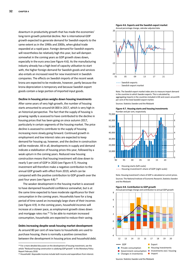downturn in productivity growth that has made the economies' long‐term growth potential decline. Nor is international GDP growth expected to generate demand for Swedish exports to the same extent as in the 1990s and 2000s, when global trade expanded at a rapid pace. Foreign demand for Swedish exports will nevertheless be relatively high this year, but will dampen somewhat in the coming years as GDP growth slows down, especially in the euro area (see Figure 4:6). As the manufacturing industry already has a high level of capacity utilisation to start with, the higher foreign demand for Swedish goods and services also entails an increased need for new investment in Swedish companies. The effects on Swedish imports of the recent weak krona are expected to be moderate, however, partly because the krona depreciation is temporary and because Swedish export goods contain a large portion of imported input goods.

# **Decline in housing prices weighs down housing investments**

After some years of very high growth, the number of housing starts amounted to around 64 000 in 2017, which is very high in an historical perspective. The fact that the supply of housing is growing rapidly is assessed to have contributed to the decline in housing prices that has been going on since autumn 2017, particularly in certain segments of the housing market. The price decline is assessed to contribute to the supply of housing increasing more slowly going forward. Continued growth in employment and low interest rates are expected to keep demand for housing up, however, and the decline in construction will be moderate. All in all, developments in supply and demand indicate a stabilisation of housing prices this year, followed by a weak upturn in the coming years. Reduced new housing construction means that housing investment will slow down to nearly 5 per cent of GDP in 2020 (see Figure 4:7). Housing investment will therefore make a negative contribution to the annual GDP growth with effect from 2019, which can be compared with the positive contribution to GDP growth over the past four years (see Figure 4:8).<sup>24</sup>

The weaker development in the housing market is assessed to have dampened household confidence somewhat, but is at the same time expected to have moderate significance for their consumption in the coming years. Households have for a long period of time saved an increasingly large share of their incomes (see Figure 4:9). In the coming years, household incomes will increase at a slower pace, as employment growth slows down and mortgage rates rise.<sup>25</sup> To be able to maintain increased consumption, households are expected to reduce their saving.

**Debts increasing despite weak housing market development**  As around 80 per cent of new loans to households are used to purchase housing, there is normally a positive connection between the development in housing prices and household debt.

<u> 1989 - Johann Barn, mars ann an t-Amhain Aonaich an t-Aonaich an t-Aonaich ann an t-Aonaich ann an t-Aonaich</u>





<sup>......</sup> Swedish export market ...... Swedish exports

Note. The Swedish export market index aims to measure import demand in the countries to which Sweden exports. This is calculated by aggregating imports in the countries included in KIX and covers around 85 per cent of the total Swedish export market.

Sources: Statistics Sweden and the Riksbank





Note. Housing investment's share of GDP is calculated at current prices. Sources: The National Institute of Economic Research, Statistics Sweden and the Riksbank



**Figure 4:8. Contribution to GDP growth** 

<sup>&</sup>lt;sup>24</sup> For a more detailed discussion on the development of housing investment, see the article "Reduced housing construction is subduing GDP growth" in the Monetary Policy Report February 2018.

<sup>25</sup> Households' disposable incomes include both income and expenditure from interest.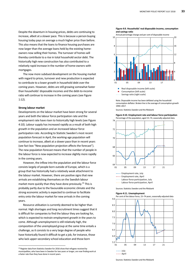Despite the downturn in housing prices, debts are continuing to increase, albeit at a slower pace. This is because a person buying housing today pays on average a much higher price than before. This also means that the loans to finance housing purchases are now larger than the average loans held by the existing home‐ owners now selling their homes. The turnover of homes will thereby contribute to a rise in total household sector debt. The historically high new construction has also contributed to a relatively rapid increase in the number of home‐owners with mortgages.

The now more subdued development on the housing market with regard to prices, turnover and new production is expected to contribute to a lower growth in household debt over the coming years. However, debts are still growing somewhat faster than households' disposable incomes and the debt‐to‐income ratio will continue to increase in the coming years (see Figure 1:12).

### **Strong labour market**

Developments on the labour market have been strong for several years and both the labour force participation rate and the employment rate have risen to historically high levels (see Figure 4:10). Labour supply has increased rapidly as a result of both high growth in the population and an increased labour force participation rate. According to Statistic Sweden's most recent population forecast in April, the working‐age population will continue to increase, albeit at a slower pace than in recent years (see fact box "New population projection affects the forecast"). The new population forecast means that the number of people in the labour force is now expected to increase slightly more rapidly in the coming years.

However, the inflow into the population and the labour force consists largely of people born outside of Europe, which is a group that has historically had a relatively weak attachment to the labour market. However, there are positive signs that new arrivals are establishing themselves on the Swedish labour market more quickly than they have done previously.<sup>26</sup> This is probably partly due to the favourable economic climate and the strong economic activity is expected to continue to facilitate entry onto the labour market for new arrivals in the coming years.

Resource utilisation is currently deemed to be higher than normal. High shortages and long recruitment times suggest that it is difficult for companies to find the labour they are looking for, which is expected to restrain employment growth in the years to come. Although unemployment is still relatively high, the composition of the unemployed group at the same time entails a challenge, as it consists to a very large degree of people who have historically found it difficult to get a job, for instance, those who lack upper‐secondary school education and those born

<u> 1989 - Johann Barn, mars eta bat erroman erroman erroman erroman erroman erroman erroman erroman erroman err</u>





...... Savings ratio (right scale)

Note. Disposable income has been deflated using the household consumption deflator. Broken line is the average of consumption growth 1994–2017.

Sources: Statistics Sweden and the Riksbank

**Figure 4:10. Employment rate and labour force participation**  Percentage of the population, aged 15–74, seasonally‐adjusted data



...... Labour force participation, July ...... Employment rate, April Employment rate, July

...... Labour force participation, April

Sources: Statistics Sweden and the Riksbank

### **Figure 4:11. Unemployment**



<sup>&</sup>lt;sup>26</sup> Register data from Statistics Sweden for 2016 show that refugees received by municipalities, who have been in Sweden for two years or longer, are now finding work at a faster rate than they have done in recent years.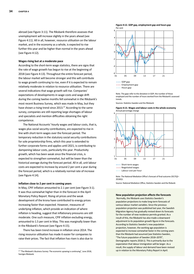abroad (see Figure 3:11). The Riksbank therefore assesses that unemployment will increase slightly in the years ahead (see Figure 4:11). All in all, however, resource utilisation on the labour market, and in the economy as a whole, is expected to rise further this year and be higher than normal in the years ahead (see Figure 4:12).

### **Wages rising but at a moderate pace**

According to the short‐term wage statistics, there are signs that the rate of wage growth has begun to rise at the beginning of 2018 (see Figure 4:13). Throughout the entire forecast period, the labour market will become stronger and this will contribute to wage growth continuing to rise, even if it is expected to remain relatively moderate in relation to resource utilisation. There are several indications that wage growth will rise. Companies' expectations of developments in wage costs and wage drift during the coming twelve months fell somewhat in the Riksbank's most recent Business Survey, which was made in May, but they have shown a rising trend since 2013.<sup>27</sup> According to the same survey, companies are still reporting large shortages of labour and specialists and mention difficulties obtaining the right competence.

The National Accounts' hourly wages and labour costs, that is, wages plus social security contributions, are expected to rise in line with short‐term wages over the forecast period. The temporary reduction in the statutory social security contributions for sole proprietorship firms, which this year is extended to further corporate forms and applies until 2021, is contributing to dampening labour costs, particularly this year. Productivity growth, which has been weak since the financial crisis, is expected to strengthen somewhat, but will be lower than the historical average during the forecast period. All in all, unit labour costs are expected to increase by around 2 per cent a year during the forecast period, which is a relatively normal rate of increase (see Figure 4:14).

### **Inflation close to 2 per cent in coming years**

In May, CPIF inflation amounted to 2.1 per cent (see Figure 3:1). It was thus somewhat higher than in the forecast in the April Monetary Policy Report. Rising oil prices and the weak development of the krona have contributed to energy prices increasing faster than expected. However, measures of underlying inflation, which provide an indication of where inflation is heading, suggest that inflationary pressures are still moderate. One such measure, CPIF inflation excluding energy, amounted to 1.5 per cent in May. This was marginally lower than in the Riksbank's forecast (see Figure 4:15).

There has been trend increase in inflation since 2014. The rising resource utilisation has made it easier for companies to raise their prices. The fact that inflation has risen is also due to

<u> 1989 - Johann Barn, mars eta bat erroman erroman erroman erroman erroman erroman erroman erroman erroman err</u>





<sup>......</sup> Hours gap ...... Employment gap

Note. The gaps refer to the deviation in GDP, the number of those employed and the number of hours worked from the Riksbank's assessed trends.

Sources: Statistics Sweden and the Riksbank

**Figure 4:13. Wages and labour costs in the whole economy**  Annual percentage change



Negotiated wages ...... Short-term wages

...... Labour cost per hour

Note. The National Mediation Office's forecast of final outcome 2017Q2– 2018Q1.

Source: National Mediation Office, Statistics Sweden and the Risbank

### **New population projection affects the forecasts**

 Normally, the Riksbank uses Statistics Sweden's population projections to make long‐term forecasts of various labour market variables. Since the previous population projection was published last year, the Swedish Migration Agency has gradually revised down its forecasts for the number of new residence permits granted. As a result of this, the Riksbank has also made a downward adjustment to its population growth figure in the forecasts. According to Statistics Sweden's new population projection, however, the working age population is expected to increase somewhat faster in the coming years than the Riksbank had assumed (see Statistics Sweden, "The future population of Sweden 2018–2070", Demographic reports 2018:1). This is primarily due to the expectation that labour immigration will be larger. As a result, the supply of labour and demand have been revised up in relation to the Monetary Policy Report in April.

<sup>&</sup>lt;sup>27</sup> "The Riksbank's Business Survey: The economic upswing is continuing", June 2018, Sveriges Riksbank.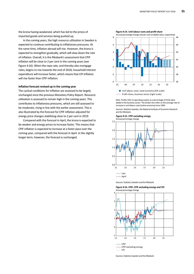the krona having weakened, which has led to the prices of imported goods and services being pushed up.

In the coming years, the high resource utilisation in Sweden is expected to continue contributing to inflationary pressures. At the same time, inflation abroad will rise. However, the krona is expected to strengthen gradually, which will slow down the rate of inflation. Overall, it is the Riksbank's assessment that CPIF inflation will be close to 2 per cent in the coming years (see Figure 4:16). When the repo rate, and thereby also mortgage rates, begins to rise towards the end of 2018, household interest expenditure will increase faster, which means that CPI inflation will rise faster than CPIF inflation.

### **Inflation forecast revised up in the coming year**

The cyclical conditions for inflation are assessed to be largely unchanged since the previous Monetary Policy Report. Resource utilisation is assessed to remain high in the coming years. This contributes to inflationary pressures, which are still assessed to be moderate, rising in line with the earlier assessment. This is also illustrated by the forecast for CPIF inflation adjusted for energy price changes stabilising close to 2 per cent in 2019.

Compared with the forecast in April, the krona is expected to be weaker and energy prices to increase faster. This means that CPIF inflation is expected to increase at a faster pace over the coming year, compared with the forecast in April. In the slightly longer term, however, the forecast is unchanged.



Profit share, business sector (right scale)

Note. Profits refer to operating surplus as a percentage of total value added in the business sector. The broken line refers to the average rate of increase in unit labour costs (entire economy) since 1994.

Sources: Statistics Sweden, the National Institute of Economic Research and the Riksbank

**Figure 4:15. CPIF excluding energy**  Annual percentage change





Sources: Statistics Sweden and the Riksbank

**Figure 4:16. CPIF, CPIF excluding energy and CPI**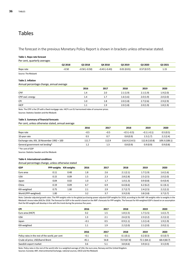# Tables

The forecast in the previous Monetary Policy Report is shown in brackets unless otherwise stated.

### **Table 1. Repo rate forecast**

Per cent, quarterly averages

|                      | Q2 2018 | Q3 2018             | <b>Q4 2018</b> | Q3 2019    | Q3 2020    | Q3 2021 |
|----------------------|---------|---------------------|----------------|------------|------------|---------|
| Repo rate            | $-0.50$ | $-0.50$ ( $-0.50$ ) | $-0.43(-0.43)$ | 0.01(0.01) | 0.57(0.57) | 1.15    |
| Source: The Riksbank |         |                     |                |            |            |         |

### **Table 2. Inflation**

Annual percentage change, annual average

|                   | 2016    | 2017 | 2018     | 2019     | 2020     |
|-------------------|---------|------|----------|----------|----------|
| <b>CPIF</b>       | 1.4     | 2.0  | 2.1(1.9) | 2.1(1.9) | 1.9(2.0) |
| CPIF excl. energy | 1.4     | 1.7  | 1.6(1.6) | 2.0(1.9) | 2.0(2.0) |
| <b>CPI</b>        | 1.0     | 1.8  | 2.0(1.8) | 2.7(2.6) | 2.9(2.9) |
| <b>HICP</b>       | $1.1\,$ | 1.9  | 2.0(1.8) | 2.0(1.9) | 1.8(1.9) |

Note. The CPIF is the CPI with a fixed mortgage rate. HICP is an EU harmonised index of consumer prices.

Sources: Statistics Sweden and the Riksbank

### **Table 3. Summary of financial forecasts**

Per cent, unless otherwise stated, annual average

|        | 2017   | 2018          | 2019          | 2020          |
|--------|--------|---------------|---------------|---------------|
| $-0.5$ | $-0.5$ | $-0.5(-0.5)$  | $-0.1(-0.1)$  | 0.5(0.5)      |
| 0.5    | 0.7    | 0.8(0.9)      | 1.5(1.7)      | 2.2(2.4)      |
| 111.7  | 112.9  | 116.9 (114.5) | 112.8 (110.8) | 109.3 (108.1) |
| 1.2    | 1.3    | 0.8(0.9)      | 0.9(0.9)      | 0.9(0.8)      |
|        | 2016   |               |               |               |

\* Per cent of GDP

Sources: Statistics Sweden and the Riksbank

### **Table 4. International conditions**

Annual percentage change, unless otherwise stated

| <b>GDP</b>           | <b>PPP-weights</b> | KIX-weights | 2016 | 2017 | 2018     | 2019     | 2020     |
|----------------------|--------------------|-------------|------|------|----------|----------|----------|
| Euro area            | 0.11               | 0.48        | 1.8  | 2.6  | 2.1(2.1) | 1.7(1.9) | 1.6(1.6) |
| <b>USA</b>           | 0.15               | 0.09        | 1.5  | 2.3  | 2.8(2.8) | 2.5(2.5) | 2.0(2.0) |
| Japan                | 0.04               | 0.02        | 1.0  | 1.7  | 1.0(1.3) | 0.9(0.8) | 0.4(0.4) |
| China                | 0.19               | 0.09        | 6.7  | 6.9  | 6.6(6.6) | 6.2(6.2) | 6.1(6.1) |
| KIX-weighted         | 0.75               | 1.00        | 2.1  | 2.9  | 2.7(2.7) | 2.4(2.5) | 2.2(2.2) |
| World (PPP-weighted) | 1.00               | -           | 3.2  | 3.7  | 3.9(3.9) | 3.8(3.8) | 3.7(3.7) |

Note. Calendar‐adjusted growth rates. The PPP weights refer to the global purchasing‐power adjusted GDP weights for 2018, according to the IMF. KIX weights refer to weights in the Riksbank's krona index (KIX) for 2018. The forecast for GDP in the world is based on the IMF's forecasts for PPP weights. The forecast for KIX‐weighted GDP is based on an assumption that the KIX weights will develop in line with the trend during the previous five years.

| <b>CPI</b>                                      | 2016   | 2017   | 2018        | 2019        | 2020        |
|-------------------------------------------------|--------|--------|-------------|-------------|-------------|
| Euro area (HICP)                                | 0.2    | 1.5    | 1.8(1.5)    | 1.7(1.5)    | 1.6(1.7)    |
| <b>USA</b>                                      | 1.3    | 2.1    | 2.6(2.5)    | 2.3(2.2)    | 2.2(2.2)    |
| Japan                                           | $-0.1$ | 0.5    | 0.9(1.1)    | 1.3(1.4)    | 1.9(1.9)    |
| KIX-weighted                                    | 1.1    | 1.9    | 2.2(2.0)    | 2.1(2.0)    | 2.0(2.1)    |
|                                                 | 2016   | 2017   | 2018        | 2019        | 2020        |
| Policy rates in the rest of the world, per cent | $-0.1$ | $-0.1$ | 0.1(0.1)    | 0.2(0.3)    | 0.5(0.7)    |
|                                                 |        |        |             |             |             |
| Crude oil price, USD/barrel Brent               | 45.1   | 54.8   | 72.9 (67.8) | 72.1 (64.1) | 68.4 (60.7) |
| Swedish export market                           | 3.6    | 5.1    | 3.8(4.6)    | 3.9(4.1)    | 3.5(3.9)    |

Note. Policy rates in the rest of the world refer to a weighted average of USA, the euro area, Norway and the United Kingdom.

Sources: Eurostat, IMF, Intercontinental Exchange, national sources, OECD and the Riksbank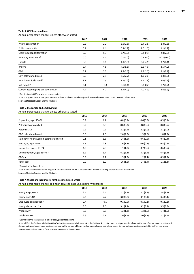### **Table 5. GDP by expenditure**

Annual percentage change, unless otherwise stated

|                                       | 2016 | 2017   | 2018     | 2019     | 2020         |
|---------------------------------------|------|--------|----------|----------|--------------|
| Private consumption                   | 2.2  | 2.2    | 2.6(2.5) | 2.4(2.5) | 2.3(2.5)     |
| Public consumption                    | 3.1  | 0.4    | 0.8(1.2) | 1.0(1.0) | 1.1(1.2)     |
| Gross fixed capital formation         | 5.6  | 5.9    | 3.7(3.3) | 0.4(0.9) | 2.8(2.8)     |
| Inventory investment*                 | 0.0  | 0.1    | 0.1(0.0) | 0.2(0.2) | $-0.1(-0.1)$ |
| Exports                               | 3.3  | 3.6    | 4.0(5.9) | 3.9(4.1) | 3.7(4.1)     |
| Imports                               | 3.4  | 4.8    | 4.1(5.5) | 3.6(4.0) | 3.5(4.2)     |
| GDP                                   | 3.2  | 2.3    | 2.5(2.6) | 1.9(2.0) | 2.1(2.1)     |
| GDP, calendar-adjusted                | 3.0  | 2.5    | 2.6(2.7) | 1.9(2.0) | 1.8(1.9)     |
| Final domestic demand*                | 3.1  | 2.5    | 2.3(2.2) | 1.4(1.6) | 2.0(2.1)     |
| Net exports*                          | 0.1  | $-0.3$ | 0.1(0.4) | 0.3(0.2) | 0.2(0.2)     |
| Current account (NA), per cent of GDP | 4.7  | 4.2    | 3.9(4.0) | 4.0(4.0) | 4.0(3.9)     |

\*Contribution to GDP growth, percentage points

Note. The figures show actual growth rates that have not been calendar‐adjusted, unless otherwise stated. NA is the National Accounts.

Sources: Statistics Sweden and the Riksbank

### **Table 6. Production and employment**

# Annual percentage change, unless otherwise stated

|                                           | 2016 | 2017 | 2018     | 2019     | 2020     |
|-------------------------------------------|------|------|----------|----------|----------|
| Population, aged 15-74                    | 0.9  | 1.1  | 0.8(0.8) | 0.6(0.5) | 0.5(0.3) |
| Potential hours worked                    | 0.9  | 0.8  | 0.8(0.8) | 0.8(0.6) | 0.8(0.5) |
| <b>Potential GDP</b>                      | 2.2  | 2.2  | 2.2(2.1) | 2.2(2.0) | 2.1(2.0) |
| GDP, calendar-adjusted                    | 3.0  | 2.5  | 2.6(2.7) | 1.9(2.0) | 1.8(1.9) |
| Number of hours worked, calendar-adjusted | 2.1  | 1.8  | 1.4(1.6) | 0.6(0.5) | 0.4(0.4) |
| Employed, aged 15-74                      | 1.5  | 2.3  | 1.6(1.4) | 0.6(0.5) | 0.5(0.4) |
| Labour force, aged 15-74                  | 1.0  | 2.0  | 1.1(1.0) | 0.7(0.6) | 0.6(0.5) |
| Unemployment, aged 15-74 *                | 6.9  | 6.7  | 6.2(6.3) | 6.3(6.4) | 6.4(6.4) |
| GDP gap                                   | 0.8  | 1.1  | 1.5(1.5) | 1.2(1.4) | 0.9(1.3) |
| Hours gap                                 | 0.0  | 1.0  | 1.6(1.6) | 1.4(1.4) | 1.1(1.3) |

\* Per cent of the labour force

Note. Potential hours refer to the long‐term sustainable level for the number of hours worked according to the Riksbank's assessment.

Sources: Statistics Sweden and the Riksbank

### **Table 7. Wages and labour costs for the economy as a whole**

Annual percentage change, calendar‐adjusted data unless otherwise stated

|                          | 2016 | 2017   | 2018     | 2019     | 2020     |
|--------------------------|------|--------|----------|----------|----------|
| Hourly wage, NMO         | 2.4  | 2.4    | 2.7(2.8) | 3.1(3.1) | 3.4(3.4) |
| Hourly wage, NA          | 2.2  | 2.7    | 3.0(2.8) | 3.1(3.1) | 3.4(3.4) |
| Employers' contribution* | 0.7  | $-0.1$ | 0.1(0.0) | 0.1(0.1) | 0.1(0.1) |
| Hourly labour cost, NA   | 3.0  | 2.6    | 3.1(2.8) | 3.2(3.2) | 3.5(3.5) |
| Productivity             | 0.9  | 0.7    | 1.2(1.1) | 1.3(1.5) | 1.4(1.5) |
| Unit labour cost         | 2.6  | 2.1    | 2.0(1.7) | 2.0(1.7) | 2.1(2.1) |

\* Contribution to the increase in labour costs, percentage points

Note. NMO is the National Mediation Office's short‐term wage statistics and NA is the National Accounts. Labour cost per hour is defined as the sum of actual wages, social‐security charges and wage taxes (labour cost sum) divided by the number of hours worked by employees. Unit labour cost is defined as labour cost sum divided by GDP in fixed prices. Sources: National Mediation Office, Statistics Sweden and the Riksbank